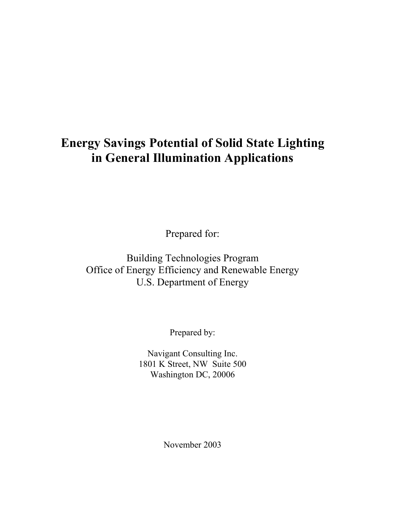# **Energy Savings Potential of Solid State Lighting in General Illumination Applications**

Prepared for:

Building Technologies Program Office of Energy Efficiency and Renewable Energy U.S. Department of Energy

Prepared by:

Navigant Consulting Inc. 1801 K Street, NW Suite 500 Washington DC, 20006

November 2003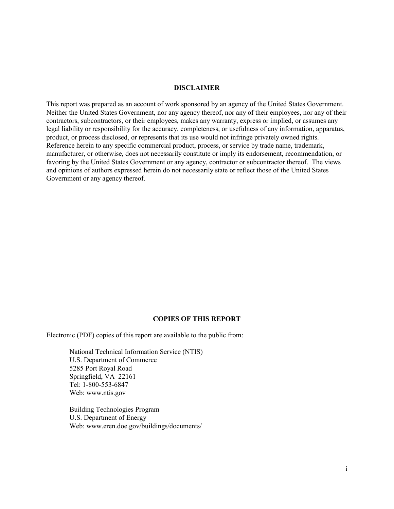#### **DISCLAIMER**

This report was prepared as an account of work sponsored by an agency of the United States Government. Neither the United States Government, nor any agency thereof, nor any of their employees, nor any of their contractors, subcontractors, or their employees, makes any warranty, express or implied, or assumes any legal liability or responsibility for the accuracy, completeness, or usefulness of any information, apparatus, product, or process disclosed, or represents that its use would not infringe privately owned rights. Reference herein to any specific commercial product, process, or service by trade name, trademark, manufacturer, or otherwise, does not necessarily constitute or imply its endorsement, recommendation, or favoring by the United States Government or any agency, contractor or subcontractor thereof. The views and opinions of authors expressed herein do not necessarily state or reflect those of the United States Government or any agency thereof.

#### **COPIES OF THIS REPORT**

Electronic (PDF) copies of this report are available to the public from:

National Technical Information Service (NTIS) U.S. Department of Commerce 5285 Port Royal Road Springfield, VA 22161 Tel: 1-800-553-6847 Web: www.ntis.gov

Building Technologies Program U.S. Department of Energy Web: www.eren.doe.gov/buildings/documents/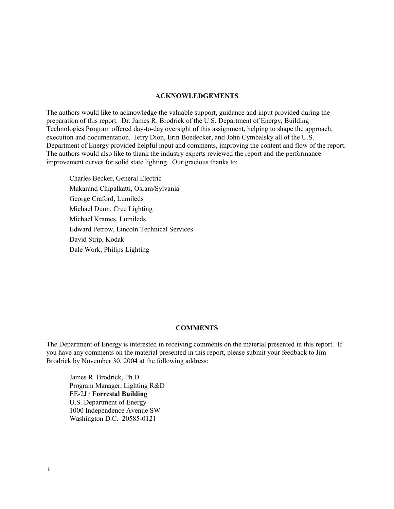#### **ACKNOWLEDGEMENTS**

The authors would like to acknowledge the valuable support, guidance and input provided during the preparation of this report. Dr. James R. Brodrick of the U.S. Department of Energy, Building Technologies Program offered day-to-day oversight of this assignment, helping to shape the approach, execution and documentation. Jerry Dion, Erin Boedecker, and John Cymbalsky all of the U.S. Department of Energy provided helpful input and comments, improving the content and flow of the report. The authors would also like to thank the industry experts reviewed the report and the performance improvement curves for solid state lighting. Our gracious thanks to:

Charles Becker, General Electric Makarand Chipalkatti, Osram/Sylvania George Craford, Lumileds Michael Dunn, Cree Lighting Michael Krames, Lumileds Edward Petrow, Lincoln Technical Services David Strip, Kodak Dale Work, Philips Lighting

#### **COMMENTS**

The Department of Energy is interested in receiving comments on the material presented in this report. If you have any comments on the material presented in this report, please submit your feedback to Jim Brodrick by November 30, 2004 at the following address:

James R. Brodrick, Ph.D. Program Manager, Lighting R&D EE-2J / **Forrestal Building** U.S. Department of Energy 1000 Independence Avenue SW Washington D.C. 20585-0121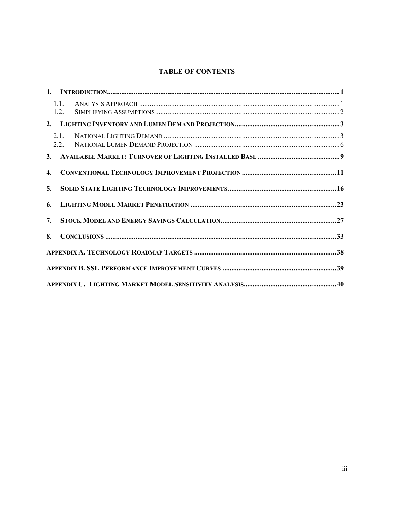# **TABLE OF CONTENTS**

|                  | 1.1.<br>12 |  |
|------------------|------------|--|
|                  |            |  |
|                  | 2.1.       |  |
|                  |            |  |
| $\overline{4}$ . |            |  |
| 5.               |            |  |
| 6.               |            |  |
| 7.               |            |  |
| 8.               |            |  |
|                  |            |  |
|                  |            |  |
|                  |            |  |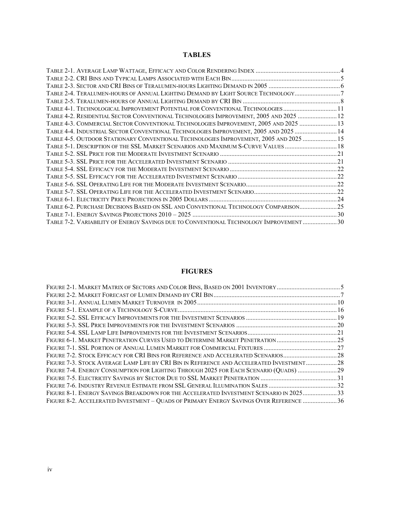# **TABLES**

| TABLE 2-4. TERALUMEN-HOURS OF ANNUAL LIGHTING DEMAND BY LIGHT SOURCE TECHNOLOGY7        |  |
|-----------------------------------------------------------------------------------------|--|
|                                                                                         |  |
| TABLE 4-1. TECHNOLOGICAL IMPROVEMENT POTENTIAL FOR CONVENTIONAL TECHNOLOGIES11          |  |
| TABLE 4-2. RESIDENTIAL SECTOR CONVENTIONAL TECHNOLOGIES IMPROVEMENT, 2005 AND 2025  12  |  |
| TABLE 4-3. COMMERCIAL SECTOR CONVENTIONAL TECHNOLOGIES IMPROVEMENT, 2005 AND 2025  13   |  |
| TABLE 4-4. INDUSTRIAL SECTOR CONVENTIONAL TECHNOLOGIES IMPROVEMENT, 2005 AND 2025  14   |  |
| TABLE 4-5. OUTDOOR STATIONARY CONVENTIONAL TECHNOLOGIES IMPROVEMENT, 2005 AND 2025  15  |  |
| TABLE 5-1. DESCRIPTION OF THE SSL MARKET SCENARIOS AND MAXIMUM S-CURVE VALUES  18       |  |
|                                                                                         |  |
|                                                                                         |  |
|                                                                                         |  |
|                                                                                         |  |
|                                                                                         |  |
|                                                                                         |  |
|                                                                                         |  |
| TABLE 6-2. PURCHASE DECISIONS BASED ON SSL AND CONVENTIONAL TECHNOLOGY COMPARISON25     |  |
|                                                                                         |  |
| TABLE 7-2. VARIABILITY OF ENERGY SAVINGS DUE TO CONVENTIONAL TECHNOLOGY IMPROVEMENT  30 |  |

# **FIGURES**

| FIGURE 2-1. MARKET MATRIX OF SECTORS AND COLOR BINS, BASED ON 2001 INVENTORY5             |  |
|-------------------------------------------------------------------------------------------|--|
|                                                                                           |  |
|                                                                                           |  |
|                                                                                           |  |
|                                                                                           |  |
|                                                                                           |  |
|                                                                                           |  |
| FIGURE 6-1. MARKET PENETRATION CURVES USED TO DETERMINE MARKET PENETRATION25              |  |
|                                                                                           |  |
| FIGURE 7-2. STOCK EFFICACY FOR CRI BINS FOR REFERENCE AND ACCELERATED SCENARIOS28         |  |
| FIGURE 7-3. STOCK AVERAGE LAMP LIFE BY CRI BIN IN REFERENCE AND ACCELERATED INVESTMENT 28 |  |
| FIGURE 7-4. ENERGY CONSUMPTION FOR LIGHTING THROUGH 2025 FOR EACH SCENARIO (QUADS) 29     |  |
|                                                                                           |  |
|                                                                                           |  |
| FIGURE 8-1. ENERGY SAVINGS BREAKDOWN FOR THE ACCELERATED INVESTMENT SCENARIO IN 202533    |  |
| FIGURE 8-2. ACCELERATED INVESTMENT - QUADS OF PRIMARY ENERGY SAVINGS OVER REFERENCE  36   |  |
|                                                                                           |  |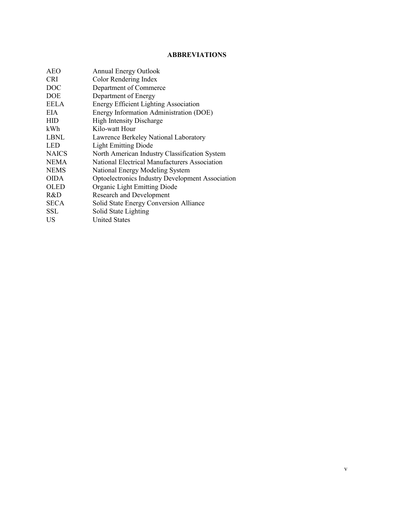## **ABBREVIATIONS**

| A E O        | <b>Annual Energy Outlook</b>                     |
|--------------|--------------------------------------------------|
| <b>CRI</b>   | Color Rendering Index                            |
| <b>DOC</b>   | Department of Commerce                           |
| <b>DOE</b>   | Department of Energy                             |
| <b>EELA</b>  | <b>Energy Efficient Lighting Association</b>     |
| EIA.         | Energy Information Administration (DOE)          |
| <b>HID</b>   | <b>High Intensity Discharge</b>                  |
| kWh          | Kilo-watt Hour                                   |
| LBNL         | Lawrence Berkeley National Laboratory            |
| <b>LED</b>   | <b>Light Emitting Diode</b>                      |
| <b>NAICS</b> | North American Industry Classification System    |
| <b>NEMA</b>  | National Electrical Manufacturers Association    |
| <b>NEMS</b>  | National Energy Modeling System                  |
| <b>OIDA</b>  | Optoelectronics Industry Development Association |
| <b>OLED</b>  | Organic Light Emitting Diode                     |
| R&D          | <b>Research and Development</b>                  |
| <b>SECA</b>  | Solid State Energy Conversion Alliance           |
| SSL          | Solid State Lighting                             |
| US           | <b>United States</b>                             |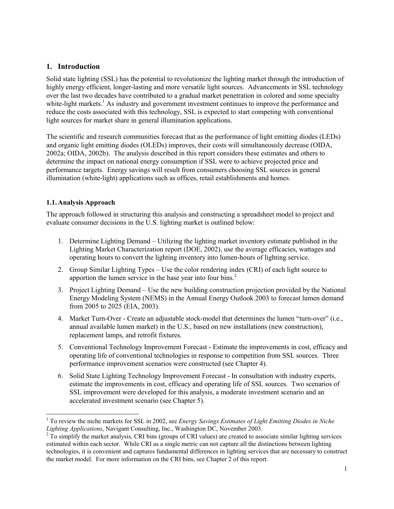# **1. Introduction**

Solid state lighting (SSL) has the potential to revolutionize the lighting market through the introduction of highly energy efficient, longer-lasting and more versatile light sources. Advancements in SSL technology over the last two decades have contributed to a gradual market penetration in colored and some specialty white-light markets.<sup>1</sup> As industry and government investment continues to improve the performance and reduce the costs associated with this technology, SSL is expected to start competing with conventional light sources for market share in general illumination applications.

The scientific and research communities forecast that as the performance of light emitting diodes (LEDs) and organic light emitting diodes (OLEDs) improves, their costs will simultaneously decrease (OIDA, 2002a; OIDA, 2002b). The analysis described in this report considers these estimates and others to determine the impact on national energy consumption if SSL were to achieve projected price and performance targets. Energy savings will result from consumers choosing SSL sources in general illumination (white-light) applications such as offices, retail establishments and homes.

## **1.1. Analysis Approach**

The approach followed in structuring this analysis and constructing a spreadsheet model to project and evaluate consumer decisions in the U.S. lighting market is outlined below:

- 1. Determine Lighting Demand Utilizing the lighting market inventory estimate published in the Lighting Market Characterization report (DOE, 2002), use the average efficacies, wattages and operating hours to convert the lighting inventory into lumen-hours of lighting service.
- 2. Group Similar Lighting Types Use the color rendering index (CRI) of each light source to apportion the lumen service in the base year into four bins.<sup>2</sup>
- 3. Project Lighting Demand Use the new building construction projection provided by the National Energy Modeling System (NEMS) in the Annual Energy Outlook 2003 to forecast lumen demand from 2005 to 2025 (EIA, 2003).
- 4. Market Turn-Over Create an adjustable stock-model that determines the lumen "turn-over" (i.e., annual available lumen market) in the U.S., based on new installations (new construction), replacement lamps, and retrofit fixtures.
- 5. Conventional Technology Improvement Forecast Estimate the improvements in cost, efficacy and operating life of conventional technologies in response to competition from SSL sources. Three performance improvement scenarios were constructed (see Chapter 4).
- 6. Solid State Lighting Technology Improvement Forecast In consultation with industry experts, estimate the improvements in cost, efficacy and operating life of SSL sources. Two scenarios of SSL improvement were developed for this analysis, a moderate investment scenario and an accelerated investment scenario (see Chapter 5).

l <sup>1</sup> To review the niche markets for SSL in 2002, see *Energy Savings Estimates of Light Emitting Diodes in Niche Lighting Applications*, Navigant Consulting, Inc., Washington DC, November 2003. 2

 $2\overline{10}$  simplify the market analysis, CRI bins (groups of CRI values) are created to associate similar lighting services estimated within each sector. While CRI as a single metric can not capture all the distinctions between lighting technologies, it is convenient and captures fundamental differences in lighting services that are necessary to construct the market model. For more information on the CRI bins, see Chapter 2 of this report.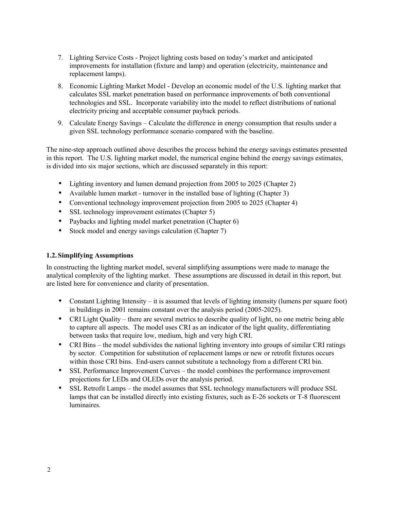- 7. Lighting Service Costs Project lighting costs based on today's market and anticipated improvements for installation (fixture and lamp) and operation (electricity, maintenance and replacement lamps).
- 8. Economic Lighting Market Model Develop an economic model of the U.S. lighting market that calculates SSL market penetration based on performance improvements of both conventional technologies and SSL. Incorporate variability into the model to reflect distributions of national electricity pricing and acceptable consumer payback periods.
- 9. Calculate Energy Savings Calculate the difference in energy consumption that results under a given SSL technology performance scenario compared with the baseline.

The nine-step approach outlined above describes the process behind the energy savings estimates presented in this report. The U.S. lighting market model, the numerical engine behind the energy savings estimates, is divided into six major sections, which are discussed separately in this report:

- Lighting inventory and lumen demand projection from 2005 to 2025 (Chapter 2)
- Available lumen market turnover in the installed base of lighting (Chapter 3)
- Conventional technology improvement projection from 2005 to 2025 (Chapter 4)
- SSL technology improvement estimates (Chapter 5)
- Paybacks and lighting model market penetration (Chapter 6)
- Stock model and energy savings calculation (Chapter 7)

#### **1.2. Simplifying Assumptions**

In constructing the lighting market model, several simplifying assumptions were made to manage the analytical complexity of the lighting market. These assumptions are discussed in detail in this report, but are listed here for convenience and clarity of presentation.

- Constant Lighting Intensity it is assumed that levels of lighting intensity (lumens per square foot) in buildings in 2001 remains constant over the analysis period (2005-2025).
- CRI Light Quality there are several metrics to describe quality of light, no one metric being able to capture all aspects. The model uses CRI as an indicator of the light quality, differentiating between tasks that require low, medium, high and very high CRI.
- CRI Bins the model subdivides the national lighting inventory into groups of similar CRI ratings by sector. Competition for substitution of replacement lamps or new or retrofit fixtures occurs within those CRI bins. End-users cannot substitute a technology from a different CRI bin.
- SSL Performance Improvement Curves the model combines the performance improvement projections for LEDs and OLEDs over the analysis period.
- SSL Retrofit Lamps the model assumes that SSL technology manufacturers will produce SSL lamps that can be installed directly into existing fixtures, such as E-26 sockets or T-8 fluorescent luminaires.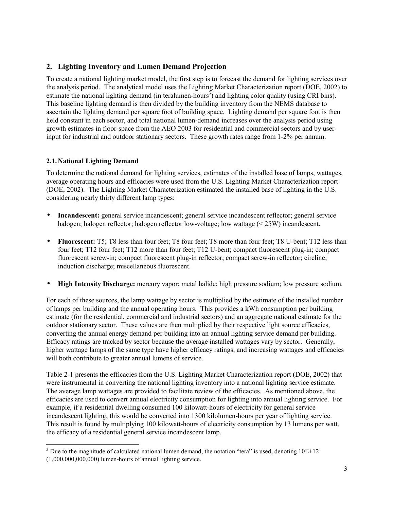# **2. Lighting Inventory and Lumen Demand Projection**

To create a national lighting market model, the first step is to forecast the demand for lighting services over the analysis period. The analytical model uses the Lighting Market Characterization report (DOE, 2002) to estimate the national lighting demand (in teralumen-hours<sup>3</sup>) and lighting color quality (using CRI bins). This baseline lighting demand is then divided by the building inventory from the NEMS database to ascertain the lighting demand per square foot of building space. Lighting demand per square foot is then held constant in each sector, and total national lumen-demand increases over the analysis period using growth estimates in floor-space from the AEO 2003 for residential and commercial sectors and by userinput for industrial and outdoor stationary sectors. These growth rates range from 1-2% per annum.

# **2.1. National Lighting Demand**

To determine the national demand for lighting services, estimates of the installed base of lamps, wattages, average operating hours and efficacies were used from the U.S. Lighting Market Characterization report (DOE, 2002). The Lighting Market Characterization estimated the installed base of lighting in the U.S. considering nearly thirty different lamp types:

- **Incandescent:** general service incandescent; general service incandescent reflector; general service halogen; halogen reflector; halogen reflector low-voltage; low wattage (< 25W) incandescent.
- **Fluorescent:** T5; T8 less than four feet; T8 four feet; T8 more than four feet; T8 U-bent; T12 less than four feet; T12 four feet; T12 more than four feet; T12 U-bent; compact fluorescent plug-in; compact fluorescent screw-in; compact fluorescent plug-in reflector; compact screw-in reflector; circline; induction discharge; miscellaneous fluorescent.
- **High Intensity Discharge:** mercury vapor; metal halide; high pressure sodium; low pressure sodium.

For each of these sources, the lamp wattage by sector is multiplied by the estimate of the installed number of lamps per building and the annual operating hours. This provides a kWh consumption per building estimate (for the residential, commercial and industrial sectors) and an aggregate national estimate for the outdoor stationary sector. These values are then multiplied by their respective light source efficacies, converting the annual energy demand per building into an annual lighting service demand per building. Efficacy ratings are tracked by sector because the average installed wattages vary by sector. Generally, higher wattage lamps of the same type have higher efficacy ratings, and increasing wattages and efficacies will both contribute to greater annual lumens of service.

Table 2-1 presents the efficacies from the U.S. Lighting Market Characterization report (DOE, 2002) that were instrumental in converting the national lighting inventory into a national lighting service estimate. The average lamp wattages are provided to facilitate review of the efficacies. As mentioned above, the efficacies are used to convert annual electricity consumption for lighting into annual lighting service. For example, if a residential dwelling consumed 100 kilowatt-hours of electricity for general service incandescent lighting, this would be converted into 1300 kilolumen-hours per year of lighting service. This result is found by multiplying 100 kilowatt-hours of electricity consumption by 13 lumens per watt, the efficacy of a residential general service incandescent lamp.

1

 $3$  Due to the magnitude of calculated national lumen demand, the notation "tera" is used, denoting  $10E+12$ 

<sup>(1,000,000,000,000)</sup> lumen-hours of annual lighting service.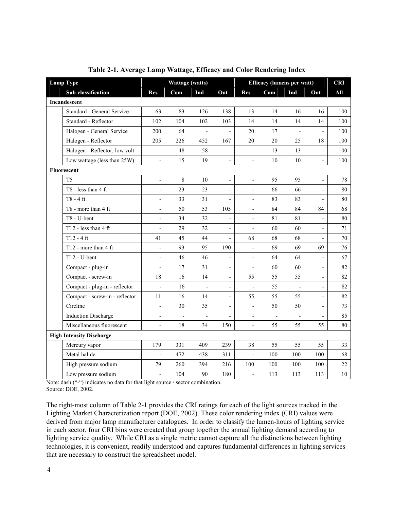| <b>Lamp Type</b> |                                 | Wattage (watts)          |                | <b>Efficacy (lumens per watt)</b> |                              |                          | <b>CRI</b>               |                |                          |        |
|------------------|---------------------------------|--------------------------|----------------|-----------------------------------|------------------------------|--------------------------|--------------------------|----------------|--------------------------|--------|
|                  | Sub-classification              | Res                      | Com            | Ind                               | Out                          | Res                      | Com                      | Ind            | Out                      | All    |
|                  | Incandescent                    |                          |                |                                   |                              |                          |                          |                |                          |        |
|                  | Standard - General Service      | 63                       | 83             | 126                               | 138                          | 13                       | 14                       | 16             | 16                       | 100    |
|                  | Standard - Reflector            | 102                      | 104            | 102                               | 103                          | 14                       | 14                       | 14             | 14                       | 100    |
|                  | Halogen - General Service       | 200                      | 64             | $\overline{a}$                    | $\overline{\phantom{0}}$     | 20                       | 17                       | $\frac{1}{2}$  | $\overline{a}$           | 100    |
|                  | Halogen - Reflector             | 205                      | 226            | 452                               | 167                          | 20                       | 20                       | 25             | 18                       | 100    |
|                  | Halogen - Reflector, low volt   | $\overline{\phantom{a}}$ | 48             | 58                                | $\overline{\phantom{a}}$     | $\blacksquare$           | 13                       | 13             | ÷,                       | 100    |
|                  | Low wattage (less than 25W)     | $\overline{\phantom{a}}$ | 15             | 19                                | $\overline{a}$               | $\blacksquare$           | 10                       | 10             | -                        | 100    |
|                  | Fluorescent                     |                          |                |                                   |                              |                          |                          |                |                          |        |
|                  | T <sub>5</sub>                  | $\overline{\phantom{a}}$ | 8              | 10                                | $\overline{\phantom{0}}$     | $\overline{a}$           | 95                       | 95             | $\overline{a}$           | 78     |
|                  | $T8 - less than 4 ft$           | $\overline{\phantom{a}}$ | 23             | 23                                | $\blacksquare$               | $\blacksquare$           | 66                       | 66             | $\overline{\phantom{0}}$ | 80     |
|                  | $T8 - 4$ ft                     | $\overline{\phantom{a}}$ | 33             | 31                                | $\blacksquare$               | $\overline{\phantom{a}}$ | 83                       | 83             | $\overline{\phantom{0}}$ | 80     |
|                  | T8 - more than 4 ft             | $\overline{\phantom{a}}$ | 50             | 53                                | 105                          | $\frac{1}{2}$            | 84                       | 84             | 84                       | 68     |
|                  | T8 - U-bent                     | $\overline{\phantom{a}}$ | 34             | 32                                | $\overline{a}$               | $\overline{a}$           | 81                       | 81             | $\overline{a}$           | 80     |
|                  | T12 - less than $4$ ft          | $\overline{\phantom{a}}$ | 29             | 32                                | $\qquad \qquad \blacksquare$ | $\blacksquare$           | 60                       | 60             | -                        | 71     |
|                  | $T12 - 4$ ft                    | 41                       | 45             | 44                                | $\overline{a}$               | 68                       | 68                       | 68             | $\overline{a}$           | 70     |
|                  | T12 - more than $4 \text{ ft}$  | $\overline{\phantom{a}}$ | 93             | 95                                | 190                          | $\blacksquare$           | 69                       | 69             | 69                       | 76     |
|                  | $T12 - U$ -bent                 | $\overline{\phantom{a}}$ | 46             | 46                                | $\overline{a}$               | $\overline{\phantom{a}}$ | 64                       | 64             |                          | 67     |
|                  | Compact - plug-in               | $\overline{\phantom{a}}$ | 17             | 31                                | $\overline{\phantom{0}}$     | ÷,                       | 60                       | 60             | -                        | 82     |
|                  | Compact - screw-in              | 18                       | 16             | 14                                | $\overline{\phantom{0}}$     | 55                       | 55                       | 55             | -                        | 82     |
|                  | Compact - plug-in - reflector   | $\frac{1}{2}$            | 16             | $\frac{1}{2}$                     | $\frac{1}{2}$                | $\frac{1}{2}$            | 55                       | $\frac{1}{2}$  | $\overline{\phantom{0}}$ | 82     |
|                  | Compact - screw-in - reflector  | 11                       | 16             | 14                                | $\blacksquare$               | 55                       | 55                       | 55             | $\overline{\phantom{0}}$ | 82     |
|                  | Circline                        | $\overline{\phantom{0}}$ | 30             | 35                                | $\overline{\phantom{a}}$     | $\overline{\phantom{a}}$ | 50                       | 50             | $\overline{\phantom{0}}$ | 73     |
|                  | <b>Induction Discharge</b>      | $\overline{\phantom{a}}$ | $\overline{a}$ | $\frac{1}{2}$                     | $\overline{\phantom{0}}$     | $\overline{\phantom{a}}$ | $\overline{\phantom{a}}$ | $\overline{a}$ | -                        | 85     |
|                  | Miscellaneous fluorescent       | $\overline{\phantom{a}}$ | $18\,$         | 34                                | 150                          | $\blacksquare$           | 55                       | 55             | 55                       | $80\,$ |
|                  | <b>High Intensity Discharge</b> |                          |                |                                   |                              |                          |                          |                |                          |        |
|                  | Mercury vapor                   | 179                      | 331            | 409                               | 239                          | 38                       | 55                       | 55             | 55                       | 33     |
|                  | Metal halide                    | $\overline{\phantom{0}}$ | 472            | 438                               | 311                          | $\overline{\phantom{a}}$ | 100                      | 100            | 100                      | 68     |
|                  | High pressure sodium            | 79                       | 260            | 394                               | 216                          | 100                      | 100                      | 100            | 100                      | 22     |
|                  | Low pressure sodium             | $\frac{1}{2}$            | 104            | 90                                | 180                          | $\frac{1}{2}$            | 113                      | 113            | 113                      | $10\,$ |

#### **Table 2-1. Average Lamp Wattage, Efficacy and Color Rendering Index**

Note: dash ("-") indicates no data for that light source / sector combination. Source: DOE, 2002.

The right-most column of Table 2-1 provides the CRI ratings for each of the light sources tracked in the Lighting Market Characterization report (DOE, 2002). These color rendering index (CRI) values were derived from major lamp manufacturer catalogues. In order to classify the lumen-hours of lighting service in each sector, four CRI bins were created that group together the annual lighting demand according to lighting service quality. While CRI as a single metric cannot capture all the distinctions between lighting technologies, it is convenient, readily understood and captures fundamental differences in lighting services that are necessary to construct the spreadsheet model.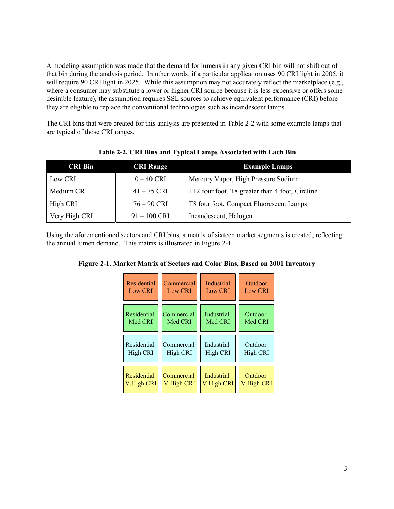A modeling assumption was made that the demand for lumens in any given CRI bin will not shift out of that bin during the analysis period. In other words, if a particular application uses 90 CRI light in 2005, it will require 90 CRI light in 2025. While this assumption may not accurately reflect the marketplace (e.g., where a consumer may substitute a lower or higher CRI source because it is less expensive or offers some desirable feature), the assumption requires SSL sources to achieve equivalent performance (CRI) before they are eligible to replace the conventional technologies such as incandescent lamps.

The CRI bins that were created for this analysis are presented in Table 2-2 with some example lamps that are typical of those CRI ranges.

| <b>CRI Bin</b> | <b>CRI Range</b> | <b>Example Lamps</b>                            |
|----------------|------------------|-------------------------------------------------|
| Low CRI        | $0 - 40$ CRI     | Mercury Vapor, High Pressure Sodium             |
| Medium CRI     | $41 - 75$ CRI    | T12 four foot, T8 greater than 4 foot, Circline |
| High CRI       | $76 - 90$ CRI    | T8 four foot, Compact Fluorescent Lamps         |
| Very High CRI  | $91 - 100$ CRI   | Incandescent, Halogen                           |

**Table 2-2. CRI Bins and Typical Lamps Associated with Each Bin**

Using the aforementioned sectors and CRI bins, a matrix of sixteen market segments is created, reflecting the annual lumen demand. This matrix is illustrated in Figure 2-1.

**Figure 2-1. Market Matrix of Sectors and Color Bins, Based on 2001 Inventory** 

| Residential    | Commercial     | <b>Industrial</b> | Outdoor        |
|----------------|----------------|-------------------|----------------|
| <b>Low CRI</b> | <b>Low CRI</b> | Low CRI           | <b>Low CRI</b> |
| Residential    | Commercial     | Industrial        | Outdoor        |
| Med CRI        | Med CRI        | Med CRI           | Med CRI        |
| Residential    | Commercial     | Industrial        | Outdoor        |
| High CRI       | High CRI       | High CRI          | High CRI       |
| Residential    | Commercial     | <b>Industrial</b> | Outdoor        |
| V.High CRI     | V.High CRI     | V.High CRI        | V.High CRI     |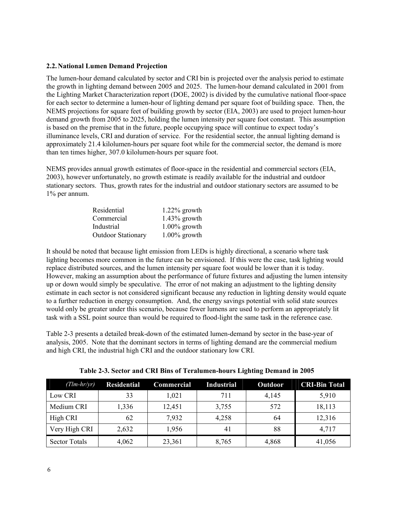#### **2.2. National Lumen Demand Projection**

The lumen-hour demand calculated by sector and CRI bin is projected over the analysis period to estimate the growth in lighting demand between 2005 and 2025. The lumen-hour demand calculated in 2001 from the Lighting Market Characterization report (DOE, 2002) is divided by the cumulative national floor-space for each sector to determine a lumen-hour of lighting demand per square foot of building space. Then, the NEMS projections for square feet of building growth by sector (EIA, 2003) are used to project lumen-hour demand growth from 2005 to 2025, holding the lumen intensity per square foot constant. This assumption is based on the premise that in the future, people occupying space will continue to expect today's illuminance levels, CRI and duration of service. For the residential sector, the annual lighting demand is approximately 21.4 kilolumen-hours per square foot while for the commercial sector, the demand is more than ten times higher, 307.0 kilolumen-hours per square foot.

NEMS provides annual growth estimates of floor-space in the residential and commercial sectors (EIA, 2003), however unfortunately, no growth estimate is readily available for the industrial and outdoor stationary sectors. Thus, growth rates for the industrial and outdoor stationary sectors are assumed to be 1% per annum.

| Residential               | $1.22\%$ growth |
|---------------------------|-----------------|
| Commercial                | $1.43\%$ growth |
| Industrial                | $1.00\%$ growth |
| <b>Outdoor Stationary</b> | $1.00\%$ growth |

It should be noted that because light emission from LEDs is highly directional, a scenario where task lighting becomes more common in the future can be envisioned. If this were the case, task lighting would replace distributed sources, and the lumen intensity per square foot would be lower than it is today. However, making an assumption about the performance of future fixtures and adjusting the lumen intensity up or down would simply be speculative. The error of not making an adjustment to the lighting density estimate in each sector is not considered significant because any reduction in lighting density would equate to a further reduction in energy consumption. And, the energy savings potential with solid state sources would only be greater under this scenario, because fewer lumens are used to perform an appropriately lit task with a SSL point source than would be required to flood-light the same task in the reference case.

Table 2-3 presents a detailed break-down of the estimated lumen-demand by sector in the base-year of analysis, 2005. Note that the dominant sectors in terms of lighting demand are the commercial medium and high CRI, the industrial high CRI and the outdoor stationary low CRI.

| $(Tim-hr/yr)$        | <b>Residential</b> | Commercial | <b>Industrial</b> | Outdoor | <b>CRI-Bin Total</b> |
|----------------------|--------------------|------------|-------------------|---------|----------------------|
| Low CRI              | 33                 | 1,021      | 711               | 4,145   | 5,910                |
| Medium CRI           | 1,336              | 12,451     | 3,755             | 572     | 18,113               |
| High CRI             | 62                 | 7,932      | 4,258             | 64      | 12,316               |
| Very High CRI        | 2,632              | 1,956      | 41                | 88      | 4,717                |
| <b>Sector Totals</b> | 4,062              | 23,361     | 8,765             | 4,868   | 41,056               |

**Table 2-3. Sector and CRI Bins of Teralumen-hours Lighting Demand in 2005**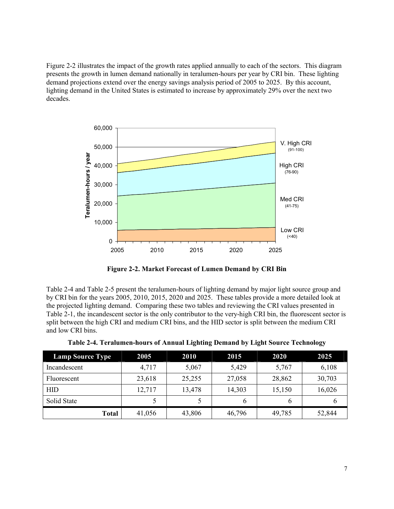Figure 2-2 illustrates the impact of the growth rates applied annually to each of the sectors. This diagram presents the growth in lumen demand nationally in teralumen-hours per year by CRI bin. These lighting demand projections extend over the energy savings analysis period of 2005 to 2025. By this account, lighting demand in the United States is estimated to increase by approximately 29% over the next two decades.



**Figure 2-2. Market Forecast of Lumen Demand by CRI Bin** 

Table 2-4 and Table 2-5 present the teralumen-hours of lighting demand by major light source group and by CRI bin for the years 2005, 2010, 2015, 2020 and 2025. These tables provide a more detailed look at the projected lighting demand. Comparing these two tables and reviewing the CRI values presented in Table 2-1, the incandescent sector is the only contributor to the very-high CRI bin, the fluorescent sector is split between the high CRI and medium CRI bins, and the HID sector is split between the medium CRI and low CRI bins.

| <b>Lamp Source Type</b> | 2005   | <b>2010</b> | 2015   | 2020   | 2025   |
|-------------------------|--------|-------------|--------|--------|--------|
| Incandescent            | 4,717  | 5,067       | 5,429  | 5,767  | 6,108  |
| Fluorescent             | 23,618 | 25,255      | 27,058 | 28,862 | 30,703 |
| <b>HID</b>              | 12,717 | 13,478      | 14,303 | 15,150 | 16,026 |
| Solid State             |        |             | 6      | b      | o      |
| <b>Total</b>            | 41,056 | 43,806      | 46,796 | 49,785 | 52,844 |

| Table 2-4. Teralumen-hours of Annual Lighting Demand by Light Source Technology |  |  |
|---------------------------------------------------------------------------------|--|--|
|                                                                                 |  |  |
|                                                                                 |  |  |
|                                                                                 |  |  |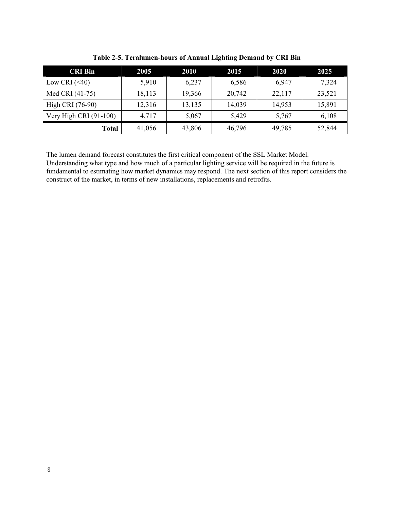| <b>CRI Bin</b>           | 2005   | <b>2010</b> | 2015   | 2020   | 2025   |
|--------------------------|--------|-------------|--------|--------|--------|
| Low CRI $(\leq 40)$      | 5,910  | 6.237       | 6,586  | 6.947  | 7,324  |
| Med CRI (41-75)          | 18,113 | 19,366      | 20,742 | 22,117 | 23,521 |
| High CRI (76-90)         | 12,316 | 13,135      | 14,039 | 14,953 | 15,891 |
| Very High CRI $(91-100)$ | 4,717  | 5,067       | 5,429  | 5,767  | 6,108  |
| Total                    | 41,056 | 43,806      | 46,796 | 49,785 | 52,844 |

**Table 2-5. Teralumen-hours of Annual Lighting Demand by CRI Bin** 

The lumen demand forecast constitutes the first critical component of the SSL Market Model. Understanding what type and how much of a particular lighting service will be required in the future is fundamental to estimating how market dynamics may respond. The next section of this report considers the construct of the market, in terms of new installations, replacements and retrofits.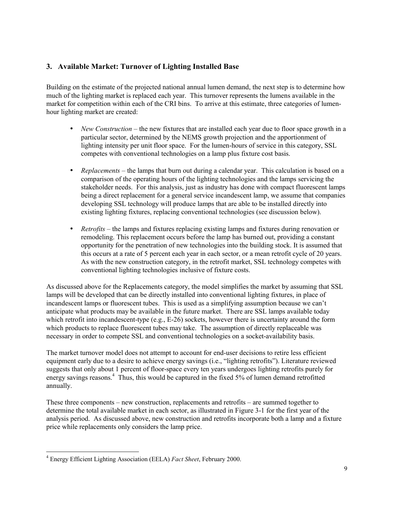# **3. Available Market: Turnover of Lighting Installed Base**

Building on the estimate of the projected national annual lumen demand, the next step is to determine how much of the lighting market is replaced each year. This turnover represents the lumens available in the market for competition within each of the CRI bins. To arrive at this estimate, three categories of lumenhour lighting market are created:

- *New Construction* the new fixtures that are installed each year due to floor space growth in a particular sector, determined by the NEMS growth projection and the apportionment of lighting intensity per unit floor space. For the lumen-hours of service in this category, SSL competes with conventional technologies on a lamp plus fixture cost basis.
- *Replacements* the lamps that burn out during a calendar year. This calculation is based on a comparison of the operating hours of the lighting technologies and the lamps servicing the stakeholder needs. For this analysis, just as industry has done with compact fluorescent lamps being a direct replacement for a general service incandescent lamp, we assume that companies developing SSL technology will produce lamps that are able to be installed directly into existing lighting fixtures, replacing conventional technologies (see discussion below).
- *Retrofits* the lamps and fixtures replacing existing lamps and fixtures during renovation or remodeling. This replacement occurs before the lamp has burned out, providing a constant opportunity for the penetration of new technologies into the building stock. It is assumed that this occurs at a rate of 5 percent each year in each sector, or a mean retrofit cycle of 20 years. As with the new construction category, in the retrofit market, SSL technology competes with conventional lighting technologies inclusive of fixture costs.

As discussed above for the Replacements category, the model simplifies the market by assuming that SSL lamps will be developed that can be directly installed into conventional lighting fixtures, in place of incandescent lamps or fluorescent tubes. This is used as a simplifying assumption because we can't anticipate what products may be available in the future market. There are SSL lamps available today which retrofit into incandescent-type (e.g., E-26) sockets, however there is uncertainty around the form which products to replace fluorescent tubes may take. The assumption of directly replaceable was necessary in order to compete SSL and conventional technologies on a socket-availability basis.

The market turnover model does not attempt to account for end-user decisions to retire less efficient equipment early due to a desire to achieve energy savings (i.e., "lighting retrofits"). Literature reviewed suggests that only about 1 percent of floor-space every ten years undergoes lighting retrofits purely for energy savings reasons.<sup>4</sup> Thus, this would be captured in the fixed 5% of lumen demand retrofitted annually.

These three components – new construction, replacements and retrofits – are summed together to determine the total available market in each sector, as illustrated in Figure 3-1 for the first year of the analysis period. As discussed above, new construction and retrofits incorporate both a lamp and a fixture price while replacements only considers the lamp price.

1

<sup>4</sup> Energy Efficient Lighting Association (EELA) *Fact Sheet*, February 2000.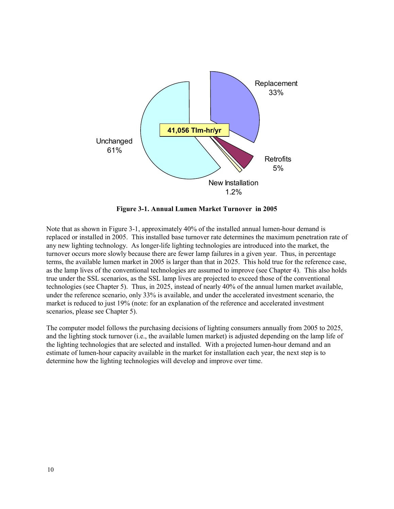

**Figure 3-1. Annual Lumen Market Turnover in 2005** 

Note that as shown in Figure 3-1, approximately 40% of the installed annual lumen-hour demand is replaced or installed in 2005. This installed base turnover rate determines the maximum penetration rate of any new lighting technology. As longer-life lighting technologies are introduced into the market, the turnover occurs more slowly because there are fewer lamp failures in a given year. Thus, in percentage terms, the available lumen market in 2005 is larger than that in 2025. This hold true for the reference case, as the lamp lives of the conventional technologies are assumed to improve (see Chapter 4). This also holds true under the SSL scenarios, as the SSL lamp lives are projected to exceed those of the conventional technologies (see Chapter 5). Thus, in 2025, instead of nearly 40% of the annual lumen market available, under the reference scenario, only 33% is available, and under the accelerated investment scenario, the market is reduced to just 19% (note: for an explanation of the reference and accelerated investment scenarios, please see Chapter 5).

The computer model follows the purchasing decisions of lighting consumers annually from 2005 to 2025, and the lighting stock turnover (i.e., the available lumen market) is adjusted depending on the lamp life of the lighting technologies that are selected and installed. With a projected lumen-hour demand and an estimate of lumen-hour capacity available in the market for installation each year, the next step is to determine how the lighting technologies will develop and improve over time.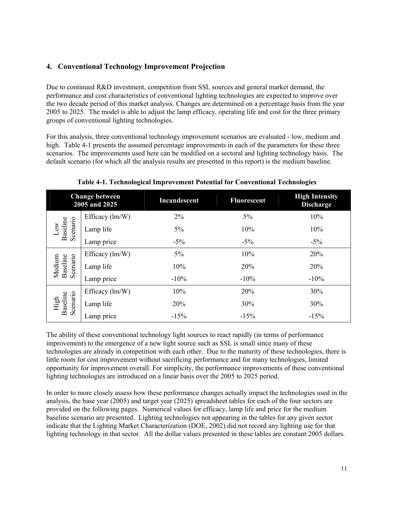# **4. Conventional Technology Improvement Projection**

Due to continued R&D investment, competition from SSL sources and general market demand, the performance and cost characteristics of conventional lighting technologies are expected to improve over the two decade period of this market analysis. Changes are determined on a percentage basis from the year 2005 to 2025. The model is able to adjust the lamp efficacy, operating life and cost for the three primary groups of conventional lighting technologies.

For this analysis, three conventional technology improvement scenarios are evaluated - low, medium and high. Table 4-1 presents the assumed percentage improvements in each of the parameters for these three scenarios. The improvements used here can be modified on a sectoral and lighting technology basis. The default scenario (for which all the analysis results are presented in this report) is the medium baseline.

|                                | <b>Change between</b><br>2005 and 2025 | Incandescent | <b>Fluorescent</b> | <b>High Intensity</b><br><b>Discharge</b> |
|--------------------------------|----------------------------------------|--------------|--------------------|-------------------------------------------|
|                                | Efficacy $(lm/W)$                      | 2%           | $5\%$              | 10%                                       |
| Scenario<br>Baseline<br>Low    | Lamp life                              | $5\%$        | 10%                | 10%                                       |
|                                | Lamp price                             | $-5\%$       | $-5\%$             | $-5\%$                                    |
|                                | Efficacy $(lm/W)$                      | $5\%$        | 10%                | 20%                                       |
| Scenario<br>Medium<br>Baseline | Lamp life                              | 10%          | 20%                | 20%                                       |
|                                | Lamp price                             | $-10%$       | $-10%$             | $-10\%$                                   |
|                                | Efficacy $(lm/W)$                      | 10%          | 20%                | 30%                                       |
| Scenario<br>Baseline<br>High   | Lamp life                              | 20%          | 30%                | 30%                                       |
|                                | Lamp price                             | $-15%$       | $-15%$             | $-15%$                                    |

**Table 4-1. Technological Improvement Potential for Conventional Technologies** 

The ability of these conventional technology light sources to react rapidly (in terms of performance improvement) to the emergence of a new light source such as SSL is small since many of these technologies are already in competition with each other. Due to the maturity of these technologies, there is little room for cost improvement without sacrificing performance and for many technologies, limited opportunity for improvement overall. For simplicity, the performance improvements of these conventional lighting technologies are introduced on a linear basis over the 2005 to 2025 period.

In order to more closely assess how these performance changes actually impact the technologies used in the analysis, the base year (2005) and target year (2025) spreadsheet tables for each of the four sectors are provided on the following pages. Numerical values for efficacy, lamp life and price for the medium baseline scenario are presented. Lighting technologies not appearing in the tables for any given sector indicate that the Lighting Market Characterization (DOE, 2002) did not record any lighting use for that lighting technology in that sector. All the dollar values presented in these tables are constant 2005 dollars.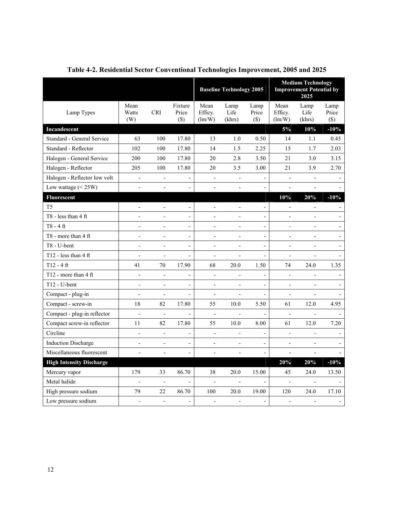|                                  |                      |                              |                            | <b>Baseline Technology 2005</b> |                          |                              | <b>Medium Technology</b><br><b>Improvement Potential by</b><br>2025 |                          |                         |
|----------------------------------|----------------------|------------------------------|----------------------------|---------------------------------|--------------------------|------------------------------|---------------------------------------------------------------------|--------------------------|-------------------------|
| Lamp Types                       | Mean<br>Watts<br>(W) | <b>CRI</b>                   | Fixture<br>Price<br>$(\$)$ | Mean<br>Efficy.<br>(lm/W)       | Lamp<br>Life<br>(khrs)   | Lamp<br>Price<br>$(\$)$      | Mean<br>Efficy.<br>$\text{ (lm/W)}$                                 | Lamp<br>Life<br>(khrs)   | Lamp<br>Price<br>$(\$)$ |
| Incandescent                     |                      |                              |                            |                                 |                          |                              | 5%                                                                  | 10%                      | $-10%$                  |
| Standard - General Service       | 63                   | 100                          | 17.80                      | 13                              | 1.0                      | 0.50                         | 14                                                                  | 1.1                      | 0.45                    |
| Standard - Reflector             | 102                  | 100                          | 17.80                      | 14                              | 1.5                      | 2.25                         | 15                                                                  | 1.7                      | 2.03                    |
| Halogen - General Service        | 200                  | 100                          | 17.80                      | 20                              | 2.8                      | 3.50                         | 21                                                                  | 3.0                      | 3.15                    |
| Halogen - Reflector              | 205                  | 100                          | 17.80                      | 20                              | 3.5                      | 3.00                         | 21                                                                  | 3.9                      | 2.70                    |
| Halogen - Reflector low volt     | $\blacksquare$       | $\overline{\phantom{a}}$     |                            | $\Box$                          | $\blacksquare$           | $\overline{\phantom{a}}$     | $\Box$                                                              | $\overline{\phantom{a}}$ |                         |
| Low wattage $(< 25W)$            | $\overline{a}$       | $\overline{a}$               |                            | ÷,                              | ÷,                       |                              | $\overline{a}$                                                      | $\overline{a}$           |                         |
| Fluorescent                      |                      |                              |                            |                                 |                          |                              | 10%                                                                 | 20%                      | $-10%$                  |
| T <sub>5</sub>                   | $\overline{a}$       | $\frac{1}{2}$                | $\overline{\phantom{a}}$   | $\frac{1}{2}$                   | $\blacksquare$           | $\qquad \qquad \blacksquare$ | $\blacksquare$                                                      | $\blacksquare$           |                         |
| $T8 - less than 4 ft$            | $\overline{a}$       | L,                           | $\overline{\phantom{a}}$   | $\overline{a}$                  | $\overline{a}$           | $\frac{1}{2}$                | $\overline{\phantom{a}}$                                            | $\frac{1}{2}$            | $\overline{a}$          |
| $T8 - 4$ ft                      | $\overline{a}$       | $\overline{\phantom{0}}$     | $\qquad \qquad -$          | $\frac{1}{2}$                   | $\overline{\phantom{0}}$ | $\overline{\phantom{a}}$     | $\frac{1}{2}$                                                       | $\frac{1}{2}$            | $\frac{1}{2}$           |
| T8 - more than 4 ft              | $\overline{a}$       | $\overline{a}$               | $\blacksquare$             | $\blacksquare$                  | $\overline{a}$           | $\blacksquare$               | $\mathbf{r}$                                                        | $\mathbf{r}$             | $\blacksquare$          |
| T8 - U-bent                      | $\overline{a}$       | $\overline{a}$               | $\blacksquare$             | $\overline{a}$                  | $\overline{a}$           | $\overline{a}$               | $\overline{a}$                                                      | ÷,                       | ÷,                      |
| T <sub>12</sub> - less than 4 ft | $\overline{a}$       | $\blacksquare$               | $\frac{1}{2}$              | $\overline{\phantom{a}}$        | $\frac{1}{2}$            | $\frac{1}{2}$                | $\blacksquare$                                                      | $\overline{\phantom{a}}$ |                         |
| $T12 - 4$ ft                     | 41                   | 70                           | 17.90                      | 68                              | 20.0                     | 1.50                         | 74                                                                  | 24.0                     | 1.35                    |
| T12 - more than 4 ft             | $\overline{a}$       | $\frac{1}{2}$                | $\frac{1}{2}$              | $\overline{\phantom{a}}$        |                          | $\qquad \qquad -$            | $\overline{\phantom{a}}$                                            | $\overline{\phantom{a}}$ |                         |
| T12 - U-bent                     | $\overline{a}$       | $\overline{\phantom{a}}$     | $\blacksquare$             | $\overline{a}$                  | ÷,                       | $\blacksquare$               | $\overline{a}$                                                      | $\overline{a}$           |                         |
| Compact - plug-in                | $\overline{a}$       | $\overline{a}$               |                            | ÷,                              | $\overline{a}$           | $\overline{a}$               | $\overline{a}$                                                      | $\overline{a}$           |                         |
| Compact - screw-in               | 18                   | 82                           | 17.80                      | 55                              | 10.0                     | 5.50                         | 61                                                                  | 12.0                     | 4.95                    |
| Compact - plug-in reflector      | $\frac{1}{2}$        | $\overline{\phantom{a}}$     | $\overline{a}$             | $\blacksquare$                  | $\overline{\phantom{a}}$ | $\overline{a}$               | $\overline{\phantom{a}}$                                            | $\overline{\phantom{a}}$ |                         |
| Compact screw-in reflector       | 11                   | 82                           | 17.80                      | 55                              | $10.0\,$                 | 8.00                         | 61                                                                  | 12.0                     | 7.20                    |
| Circline                         | $\overline{a}$       | $\qquad \qquad \blacksquare$ | $\overline{\phantom{a}}$   | $\overline{a}$                  |                          | $\frac{1}{2}$                | $\frac{1}{2}$                                                       |                          |                         |
| <b>Induction Discharge</b>       | $\overline{a}$       | $\frac{1}{2}$                | $\overline{\phantom{a}}$   | $\frac{1}{2}$                   | $\overline{\phantom{0}}$ | $\frac{1}{2}$                | $\frac{1}{2}$                                                       | $\frac{1}{2}$            |                         |
| Miscellaneous fluorescent        | $\overline{a}$       | ÷,                           | $\overline{\phantom{a}}$   | $\overline{\phantom{a}}$        | $\frac{1}{2}$            | $\frac{1}{2}$                | $\frac{1}{2}$                                                       | $\overline{\phantom{a}}$ |                         |
| <b>High Intensity Discharge</b>  |                      |                              |                            |                                 |                          |                              | 20%                                                                 | 20%                      | $-10%$                  |
| Mercury vapor                    | 179                  | 33                           | 86.70                      | 38                              | 20.0                     | 15.00                        | 45                                                                  | 24.0                     | 13.50                   |
| Metal halide                     | $\overline{a}$       | $\blacksquare$               |                            | $\blacksquare$                  | $\blacksquare$           |                              | $\blacksquare$                                                      | $\blacksquare$           |                         |
| High pressure sodium             | 79                   | 22                           | 86.70                      | 100                             | 20.0                     | 19.00                        | 120                                                                 | 24.0                     | 17.10                   |
| Low pressure sodium              | $\overline{a}$       | $\overline{\phantom{a}}$     | $\overline{\phantom{a}}$   | $\overline{\phantom{a}}$        | $\overline{\phantom{a}}$ | $\overline{\phantom{a}}$     | $\overline{\phantom{a}}$                                            | $\overline{\phantom{a}}$ |                         |

**Table 4-2. Residential Sector Conventional Technologies Improvement, 2005 and 2025**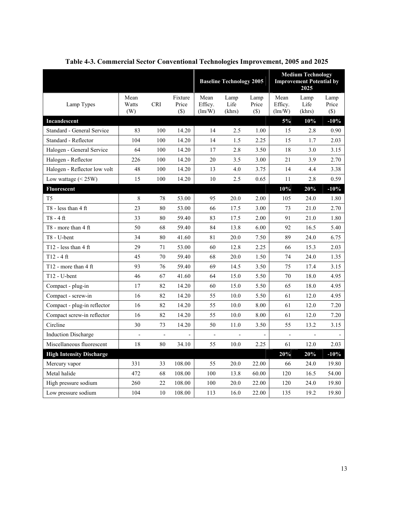|                                  |                          |                          |                            | <b>Baseline Technology 2005</b> |                          |                              |                                         | <b>Medium Technology</b><br><b>Improvement Potential by</b><br>2025 |                         |  |
|----------------------------------|--------------------------|--------------------------|----------------------------|---------------------------------|--------------------------|------------------------------|-----------------------------------------|---------------------------------------------------------------------|-------------------------|--|
| Lamp Types                       | Mean<br>Watts<br>(W)     | <b>CRI</b>               | Fixture<br>Price<br>$(\$)$ | Mean<br>Efficy.<br>(lm/W)       | Lamp<br>Life<br>(khrs)   | Lamp<br>Price<br>$(\$)$      | Mean<br>Efficy.<br>$\text{Im}/\text{W}$ | Lamp<br>Life<br>(khrs)                                              | Lamp<br>Price<br>$(\$)$ |  |
| Incandescent                     |                          |                          |                            |                                 |                          |                              | 5%                                      | 10%                                                                 | $-10%$                  |  |
| Standard - General Service       | 83                       | 100                      | 14.20                      | 14                              | 2.5                      | 1.00                         | 15                                      | 2.8                                                                 | 0.90                    |  |
| Standard - Reflector             | 104                      | 100                      | 14.20                      | 14                              | 1.5                      | 2.25                         | 15                                      | 1.7                                                                 | 2.03                    |  |
| Halogen - General Service        | 64                       | 100                      | 14.20                      | 17                              | 2.8                      | 3.50                         | 18                                      | 3.0                                                                 | 3.15                    |  |
| Halogen - Reflector              | 226                      | 100                      | 14.20                      | 20                              | 3.5                      | 3.00                         | 21                                      | 3.9                                                                 | 2.70                    |  |
| Halogen - Reflector low volt     | 48                       | 100                      | 14.20                      | 13                              | 4.0                      | 3.75                         | 14                                      | 4.4                                                                 | 3.38                    |  |
| Low wattage $(< 25W)$            | 15                       | 100                      | 14.20                      | 10                              | 2.5                      | 0.65                         | 11                                      | 2.8                                                                 | 0.59                    |  |
| <b>Fluorescent</b>               |                          |                          |                            |                                 |                          |                              | 10%                                     | 20%                                                                 | $-10%$                  |  |
| T <sub>5</sub>                   | 8                        | 78                       | 53.00                      | 95                              | 20.0                     | 2.00                         | 105                                     | 24.0                                                                | 1.80                    |  |
| T8 - less than $4 \text{ ft}$    | 23                       | 80                       | 53.00                      | 66                              | 17.5                     | 3.00                         | 73                                      | 21.0                                                                | 2.70                    |  |
| $T8 - 4$ ft                      | 33                       | 80                       | 59.40                      | 83                              | 17.5                     | 2.00                         | 91                                      | 21.0                                                                | 1.80                    |  |
| $T8$ - more than 4 ft            | 50                       | 68                       | 59.40                      | 84                              | 13.8                     | 6.00                         | 92                                      | 16.5                                                                | 5.40                    |  |
| T8 - U-bent                      | 34                       | 80                       | 41.60                      | 81                              | 20.0                     | 7.50                         | 89                                      | 24.0                                                                | 6.75                    |  |
| T <sub>12</sub> - less than 4 ft | 29                       | 71                       | 53.00                      | 60                              | 12.8                     | 2.25                         | 66                                      | 15.3                                                                | 2.03                    |  |
| $T12 - 4$ ft                     | 45                       | 70                       | 59.40                      | 68                              | 20.0                     | 1.50                         | 74                                      | 24.0                                                                | 1.35                    |  |
| T12 - more than $4 \text{ ft}$   | 93                       | 76                       | 59.40                      | 69                              | 14.5                     | 3.50                         | 75                                      | 17.4                                                                | 3.15                    |  |
| $T12 - U$ -bent                  | 46                       | 67                       | 41.60                      | 64                              | 15.0                     | 5.50                         | 70                                      | 18.0                                                                | 4.95                    |  |
| Compact - plug-in                | 17                       | 82                       | 14.20                      | 60                              | 15.0                     | 5.50                         | 65                                      | 18.0                                                                | 4.95                    |  |
| Compact - screw-in               | 16                       | 82                       | 14.20                      | 55                              | 10.0                     | 5.50                         | 61                                      | 12.0                                                                | 4.95                    |  |
| Compact - plug-in reflector      | 16                       | 82                       | 14.20                      | 55                              | 10.0                     | 8.00                         | 61                                      | 12.0                                                                | 7.20                    |  |
| Compact screw-in reflector       | 16                       | 82                       | 14.20                      | 55                              | $10.0\,$                 | 8.00                         | 61                                      | 12.0                                                                | 7.20                    |  |
| Circline                         | 30                       | 73                       | 14.20                      | 50                              | 11.0                     | 3.50                         | 55                                      | 13.2                                                                | 3.15                    |  |
| <b>Induction Discharge</b>       | $\overline{\phantom{a}}$ | $\overline{\phantom{a}}$ |                            | $\qquad \qquad \blacksquare$    | $\overline{\phantom{a}}$ | $\qquad \qquad \blacksquare$ | $\overline{\phantom{a}}$                | $\overline{\phantom{a}}$                                            |                         |  |
| Miscellaneous fluorescent        | 18                       | 80                       | 34.10                      | 55                              | 10.0                     | 2.25                         | 61                                      | 12.0                                                                | 2.03                    |  |
| <b>High Intensity Discharge</b>  |                          |                          |                            |                                 |                          |                              | 20%                                     | 20%                                                                 | $-10%$                  |  |
| Mercury vapor                    | 331                      | 33                       | 108.00                     | 55                              | 20.0                     | 22.00                        | 66                                      | 24.0                                                                | 19.80                   |  |
| Metal halide                     | 472                      | 68                       | 108.00                     | 100                             | 13.8                     | 60.00                        | 120                                     | 16.5                                                                | 54.00                   |  |
| High pressure sodium             | 260                      | 22                       | 108.00                     | 100                             | 20.0                     | 22.00                        | 120                                     | 24.0                                                                | 19.80                   |  |
| Low pressure sodium              | 104                      | 10                       | 108.00                     | 113                             | 16.0                     | 22.00                        | 135                                     | 19.2                                                                | 19.80                   |  |

**Table 4-3. Commercial Sector Conventional Technologies Improvement, 2005 and 2025**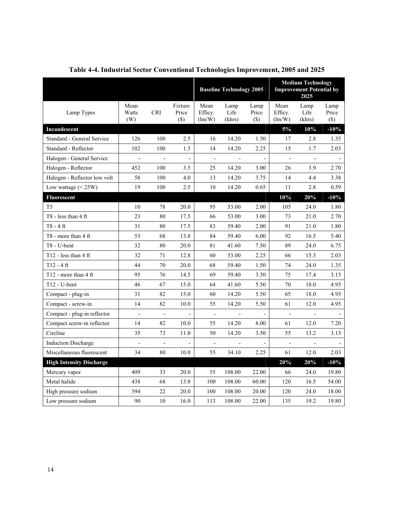|                                            |                          |                          |                              |                                         | <b>Baseline Technology 2005</b> |                         |                                         | <b>Medium Technology</b><br><b>Improvement Potential by</b><br>2025 |                          |
|--------------------------------------------|--------------------------|--------------------------|------------------------------|-----------------------------------------|---------------------------------|-------------------------|-----------------------------------------|---------------------------------------------------------------------|--------------------------|
| Lamp Types                                 | Mean<br>Watts<br>(W)     | <b>CRI</b>               | Fixture<br>Price<br>$(\$)$   | Mean<br>Efficy.<br>$\text{Im}/\text{W}$ | Lamp<br>Life<br>(khrs)          | Lamp<br>Price<br>$(\$)$ | Mean<br>Efficy.<br>$\text{Im}/\text{W}$ | Lamp<br>Life<br>(khrs)                                              | Lamp<br>Price<br>$(\$)$  |
| <b>Incandescent</b>                        |                          |                          |                              |                                         |                                 |                         | 5%                                      | 10%                                                                 | $-10%$                   |
| Standard - General Service                 | 126                      | 100                      | 2.5                          | 16                                      | 14.20                           | 1.50                    | 17                                      | 2.8                                                                 | 1.35                     |
| Standard - Reflector                       | 102                      | 100                      | 1.5                          | 14                                      | 14.20                           | 2.25                    | 15                                      | 1.7                                                                 | 2.03                     |
| Halogen - General Service                  | $\overline{\phantom{a}}$ | $\overline{\phantom{a}}$ | $\blacksquare$               | $\overline{\phantom{a}}$                | $\overline{\phantom{a}}$        | $\blacksquare$          | $\blacksquare$                          | $\overline{\phantom{a}}$                                            | $\overline{\phantom{a}}$ |
| Halogen - Reflector                        | 452                      | 100                      | 3.5                          | 25                                      | 14.20                           | 3.00                    | 26                                      | 3.9                                                                 | 2.70                     |
| Halogen - Reflector low volt               | 58                       | 100                      | 4.0                          | 13                                      | 14.20                           | 3.75                    | 14                                      | 4.4                                                                 | 3.38                     |
| Low wattage $(< 25W)$                      | 19                       | 100                      | 2.5                          | 10                                      | 14.20                           | 0.65                    | 11                                      | 2.8                                                                 | 0.59                     |
| <b>Fluorescent</b>                         |                          |                          |                              |                                         |                                 |                         | 10%                                     | 20%                                                                 | $-10%$                   |
| T <sub>5</sub>                             | 10                       | 78                       | 20.0                         | 95                                      | 53.00                           | 2.00                    | 105                                     | 24.0                                                                | 1.80                     |
| T8 - less than $4 \text{ ft}$              | 23                       | 80                       | 17.5                         | 66                                      | 53.00                           | 3.00                    | 73                                      | 21.0                                                                | 2.70                     |
| $T8 - 4$ ft                                | 31                       | 80                       | 17.5                         | 83                                      | 59.40                           | 2.00                    | 91                                      | 21.0                                                                | 1.80                     |
| $T8$ - more than 4 ft                      | 53                       | 68                       | 13.8                         | 84                                      | 59.40                           | 6.00                    | 92                                      | 16.5                                                                | 5.40                     |
| T8 - U-bent                                | 32                       | 80                       | 20.0                         | 81                                      | 41.60                           | 7.50                    | 89                                      | 24.0                                                                | 6.75                     |
| T12 - less than $4$ ft                     | 32                       | 71                       | 12.8                         | 60                                      | 53.00                           | 2.25                    | 66                                      | 15.3                                                                | 2.03                     |
| $T12 - 4$ ft                               | 44                       | 70                       | 20.0                         | 68                                      | 59.40                           | 1.50                    | 74                                      | 24.0                                                                | 1.35                     |
| T <sub>12</sub> - more than $4 \text{ ft}$ | 95                       | 76                       | 14.5                         | 69                                      | 59.40                           | 3.50                    | 75                                      | 17.4                                                                | 3.15                     |
| T12 - U-bent                               | 46                       | 67                       | 15.0                         | 64                                      | 41.60                           | 5.50                    | 70                                      | 18.0                                                                | 4.95                     |
| Compact - plug-in                          | 31                       | 82                       | 15.0                         | 60                                      | 14.20                           | 5.50                    | 65                                      | 18.0                                                                | 4.95                     |
| Compact - screw-in                         | 14                       | 82                       | 10.0                         | 55                                      | 14.20                           | 5.50                    | 61                                      | 12.0                                                                | 4.95                     |
| Compact - plug-in reflector                | $\overline{\phantom{a}}$ | $\blacksquare$           | $\overline{\phantom{a}}$     | $\overline{\phantom{a}}$                | $\blacksquare$                  |                         | $\sim$                                  | $\overline{\phantom{a}}$                                            |                          |
| Compact screw-in reflector                 | 14                       | 82                       | 10.0                         | 55                                      | 14.20                           | 8.00                    | 61                                      | 12.0                                                                | 7.20                     |
| Circline                                   | 35                       | 73                       | 11.0                         | 50                                      | 14.20                           | 3.50                    | 55                                      | 13.2                                                                | 3.15                     |
| <b>Induction Discharge</b>                 | $\overline{\phantom{a}}$ | $\blacksquare$           | $\qquad \qquad \blacksquare$ | $\overline{\phantom{a}}$                | $\blacksquare$                  |                         | $\frac{1}{2}$                           |                                                                     |                          |
| Miscellaneous fluorescent                  | 34                       | 80                       | 10.0                         | 55                                      | 34.10                           | 2.25                    | 61                                      | 12.0                                                                | 2.03                     |
| <b>High Intensity Discharge</b>            |                          |                          |                              |                                         |                                 |                         | 20%                                     | 20%                                                                 | $-10%$                   |
| Mercury vapor                              | 409                      | 33                       | 20.0                         | 55                                      | 108.00                          | 22.00                   | 66                                      | 24.0                                                                | 19.80                    |
| Metal halide                               | 438                      | 68                       | 13.8                         | 100                                     | 108.00                          | 60.00                   | 120                                     | 16.5                                                                | 54.00                    |
| High pressure sodium                       | 394                      | 22                       | 20.0                         | 100                                     | 108.00                          | 20.00                   | 120                                     | 24.0                                                                | 18.00                    |
| Low pressure sodium                        | 90                       | 10                       | 16.0                         | 113                                     | 108.00                          | 22.00                   | 135                                     | 19.2                                                                | 19.80                    |

**Table 4-4. Industrial Sector Conventional Technologies Improvement, 2005 and 2025**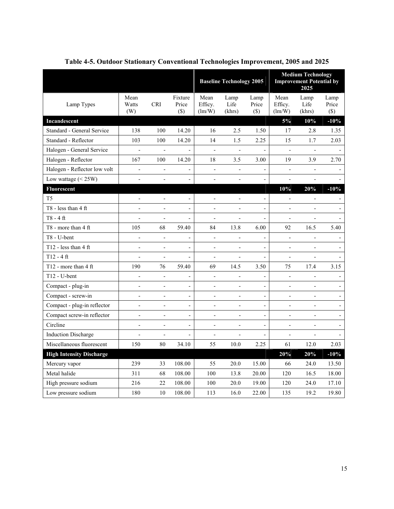|                                 |                              |                              |                              | <b>Baseline Technology 2005</b> |                              |                          |                           | <b>Medium Technology</b><br><b>Improvement Potential by</b><br>2025 |                              |  |
|---------------------------------|------------------------------|------------------------------|------------------------------|---------------------------------|------------------------------|--------------------------|---------------------------|---------------------------------------------------------------------|------------------------------|--|
| Lamp Types                      | Mean<br>Watts<br>(W)         | <b>CRI</b>                   | Fixture<br>Price<br>$(\$)$   | Mean<br>Efficy.<br>(lm/W)       | Lamp<br>Life<br>(khrs)       | Lamp<br>Price<br>$(\$)$  | Mean<br>Efficy.<br>(lm/W) | Lamp<br>Life<br>(khrs)                                              | Lamp<br>Price<br>$(\$)$      |  |
| Incandescent                    |                              |                              |                              |                                 |                              |                          | 5%                        | 10%                                                                 | $-10%$                       |  |
| Standard - General Service      | 138                          | 100                          | 14.20                        | 16                              | 2.5                          | 1.50                     | 17                        | 2.8                                                                 | 1.35                         |  |
| Standard - Reflector            | 103                          | 100                          | 14.20                        | 14                              | 1.5                          | 2.25                     | 15                        | 1.7                                                                 | 2.03                         |  |
| Halogen - General Service       | $\frac{1}{2}$                | $\overline{\phantom{a}}$     | $\blacksquare$               | $\blacksquare$                  | $\blacksquare$               | $\blacksquare$           | $\blacksquare$            | $\blacksquare$                                                      | $\overline{\phantom{a}}$     |  |
| Halogen - Reflector             | 167                          | 100                          | 14.20                        | 18                              | 3.5                          | 3.00                     | 19                        | 3.9                                                                 | 2.70                         |  |
| Halogen - Reflector low volt    | $\overline{\phantom{0}}$     | $\overline{\phantom{a}}$     | $\overline{\phantom{a}}$     | $\overline{a}$                  | $\frac{1}{2}$                |                          | $\overline{\phantom{a}}$  | $\overline{\phantom{0}}$                                            |                              |  |
| Low wattage $(< 25W)$           |                              |                              | $\overline{a}$               | ÷,                              |                              |                          | $\overline{a}$            | $\overline{a}$                                                      |                              |  |
| Fluorescent                     |                              |                              |                              |                                 |                              |                          | 10%                       | 20%                                                                 | $-10%$                       |  |
| T <sub>5</sub>                  | $\overline{a}$               | $\blacksquare$               | $\blacksquare$               | $\overline{\phantom{a}}$        | L,                           | $\overline{a}$           | $\overline{\phantom{a}}$  | $\overline{\phantom{a}}$                                            | $\overline{\phantom{a}}$     |  |
| $T8 - less than 4 ft$           |                              |                              | $\overline{\phantom{a}}$     | $\overline{a}$                  |                              | $\overline{a}$           | $\overline{\phantom{a}}$  | $\overline{a}$                                                      |                              |  |
| $T8 - 4$ ft                     | $\overline{a}$               | $\overline{\phantom{a}}$     | $\overline{\phantom{a}}$     | $\overline{a}$                  |                              | $\overline{a}$           | $\blacksquare$            | $\overline{a}$                                                      |                              |  |
| T8 - more than 4 ft             | 105                          | 68                           | 59.40                        | 84                              | 13.8                         | 6.00                     | 92                        | 16.5                                                                | 5.40                         |  |
| T8 - U-bent                     | $\overline{a}$               | $\overline{\phantom{a}}$     | $\qquad \qquad \blacksquare$ | ÷                               | -                            | -                        | $\overline{\phantom{a}}$  | $\qquad \qquad -$                                                   | $\qquad \qquad -$            |  |
| T12 - less than $4$ ft          | $\overline{\phantom{a}}$     | $\overline{\phantom{a}}$     | $\overline{\phantom{a}}$     | $\overline{\phantom{a}}$        | $\overline{\phantom{a}}$     | $\frac{1}{2}$            | $\overline{\phantom{a}}$  | $\blacksquare$                                                      | $\overline{\phantom{a}}$     |  |
| $T12 - 4$ ft                    | $\overline{a}$               | $\overline{a}$               | $\blacksquare$               | $\frac{1}{2}$                   |                              | $\overline{\phantom{0}}$ | $\frac{1}{2}$             | $\frac{1}{2}$                                                       |                              |  |
| T12 - more than $4$ ft          | 190                          | 76                           | 59.40                        | 69                              | 14.5                         | 3.50                     | 75                        | 17.4                                                                | 3.15                         |  |
| T12 - U-bent                    | $\overline{a}$               | $\overline{\phantom{a}}$     | $\overline{a}$               | $\frac{1}{2}$                   | $\overline{a}$               | $\overline{a}$           | $\overline{a}$            | $\overline{a}$                                                      |                              |  |
| Compact - plug-in               |                              | $\qquad \qquad \blacksquare$ | $\overline{\phantom{a}}$     | $\qquad \qquad -$               | $\qquad \qquad \blacksquare$ | $\overline{\phantom{0}}$ | $\overline{\phantom{a}}$  | $\qquad \qquad \blacksquare$                                        | $\qquad \qquad \blacksquare$ |  |
| Compact - screw-in              | $\blacksquare$               | $\overline{a}$               | $\overline{a}$               | $\overline{\phantom{a}}$        | $\overline{a}$               | $\overline{a}$           | $\blacksquare$            | $\overline{\phantom{a}}$                                            | $\overline{\phantom{a}}$     |  |
| Compact - plug-in reflector     | $\overline{a}$               | $\overline{a}$               | $\overline{\phantom{a}}$     | ÷,                              | $\overline{a}$               | $\overline{a}$           | $\overline{a}$            | $\overline{a}$                                                      | $\qquad \qquad \blacksquare$ |  |
| Compact screw-in reflector      | L,                           | $\blacksquare$               | $\blacksquare$               | L,                              |                              | $\overline{a}$           | ÷,                        | ÷,                                                                  | $\blacksquare$               |  |
| Circline                        |                              | $\overline{a}$               | $\qquad \qquad \blacksquare$ | ÷,                              |                              | L,                       | $\overline{a}$            | $\overline{a}$                                                      | $\overline{a}$               |  |
| <b>Induction Discharge</b>      | $\qquad \qquad \blacksquare$ | $\overline{\phantom{a}}$     | $\overline{\phantom{a}}$     | $\qquad \qquad -$               | $\qquad \qquad \blacksquare$ | $\overline{\phantom{0}}$ | $\overline{\phantom{a}}$  | $\overline{\phantom{a}}$                                            | $\qquad \qquad \blacksquare$ |  |
| Miscellaneous fluorescent       | 150                          | 80                           | 34.10                        | 55                              | 10.0                         | 2.25                     | 61                        | 12.0                                                                | 2.03                         |  |
| <b>High Intensity Discharge</b> |                              |                              |                              |                                 |                              |                          | 20%                       | 20%                                                                 | $-10%$                       |  |
| Mercury vapor                   | 239                          | 33                           | 108.00                       | 55                              | 20.0                         | 15.00                    | 66                        | 24.0                                                                | 13.50                        |  |
| Metal halide                    | 311                          | 68                           | 108.00                       | 100                             | 13.8                         | 20.00                    | 120                       | 16.5                                                                | 18.00                        |  |
| High pressure sodium            | 216                          | 22                           | 108.00                       | 100                             | 20.0                         | 19.00                    | 120                       | 24.0                                                                | 17.10                        |  |
| Low pressure sodium             | 180                          | 10                           | 108.00                       | 113                             | 16.0                         | 22.00                    | 135                       | 19.2                                                                | 19.80                        |  |

**Table 4-5. Outdoor Stationary Conventional Technologies Improvement, 2005 and 2025**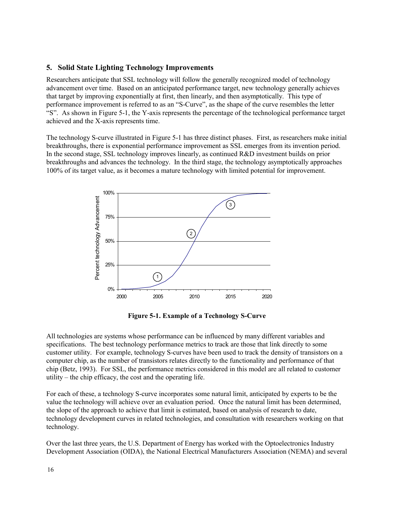#### **5. Solid State Lighting Technology Improvements**

Researchers anticipate that SSL technology will follow the generally recognized model of technology advancement over time. Based on an anticipated performance target, new technology generally achieves that target by improving exponentially at first, then linearly, and then asymptotically. This type of performance improvement is referred to as an "S-Curve", as the shape of the curve resembles the letter "S". As shown in Figure 5-1, the Y-axis represents the percentage of the technological performance target achieved and the X-axis represents time.

The technology S-curve illustrated in Figure 5-1 has three distinct phases. First, as researchers make initial breakthroughs, there is exponential performance improvement as SSL emerges from its invention period. In the second stage, SSL technology improves linearly, as continued R&D investment builds on prior breakthroughs and advances the technology. In the third stage, the technology asymptotically approaches 100% of its target value, as it becomes a mature technology with limited potential for improvement.



**Figure 5-1. Example of a Technology S-Curve** 

All technologies are systems whose performance can be influenced by many different variables and specifications. The best technology performance metrics to track are those that link directly to some customer utility. For example, technology S-curves have been used to track the density of transistors on a computer chip, as the number of transistors relates directly to the functionality and performance of that chip (Betz, 1993). For SSL, the performance metrics considered in this model are all related to customer utility – the chip efficacy, the cost and the operating life.

For each of these, a technology S-curve incorporates some natural limit, anticipated by experts to be the value the technology will achieve over an evaluation period. Once the natural limit has been determined, the slope of the approach to achieve that limit is estimated, based on analysis of research to date, technology development curves in related technologies, and consultation with researchers working on that technology.

Over the last three years, the U.S. Department of Energy has worked with the Optoelectronics Industry Development Association (OIDA), the National Electrical Manufacturers Association (NEMA) and several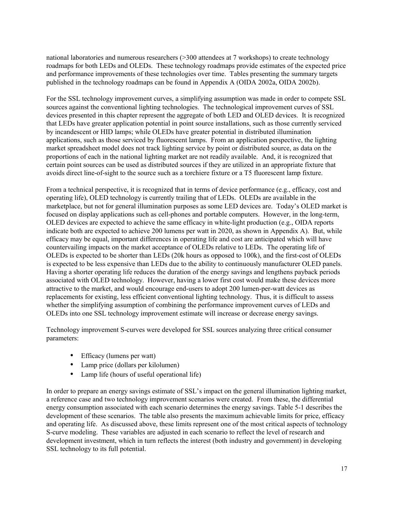national laboratories and numerous researchers (>300 attendees at 7 workshops) to create technology roadmaps for both LEDs and OLEDs. These technology roadmaps provide estimates of the expected price and performance improvements of these technologies over time. Tables presenting the summary targets published in the technology roadmaps can be found in Appendix A (OIDA 2002a, OIDA 2002b).

For the SSL technology improvement curves, a simplifying assumption was made in order to compete SSL sources against the conventional lighting technologies. The technological improvement curves of SSL devices presented in this chapter represent the aggregate of both LED and OLED devices. It is recognized that LEDs have greater application potential in point source installations, such as those currently serviced by incandescent or HID lamps; while OLEDs have greater potential in distributed illumination applications, such as those serviced by fluorescent lamps. From an application perspective, the lighting market spreadsheet model does not track lighting service by point or distributed source, as data on the proportions of each in the national lighting market are not readily available. And, it is recognized that certain point sources can be used as distributed sources if they are utilized in an appropriate fixture that avoids direct line-of-sight to the source such as a torchiere fixture or a T5 fluorescent lamp fixture.

From a technical perspective, it is recognized that in terms of device performance (e.g., efficacy, cost and operating life), OLED technology is currently trailing that of LEDs. OLEDs are available in the marketplace, but not for general illumination purposes as some LED devices are. Today's OLED market is focused on display applications such as cell-phones and portable computers. However, in the long-term, OLED devices are expected to achieve the same efficacy in white-light production (e.g., OIDA reports indicate both are expected to achieve 200 lumens per watt in 2020, as shown in Appendix A). But, while efficacy may be equal, important differences in operating life and cost are anticipated which will have countervailing impacts on the market acceptance of OLEDs relative to LEDs. The operating life of OLEDs is expected to be shorter than LEDs (20k hours as opposed to 100k), and the first-cost of OLEDs is expected to be less expensive than LEDs due to the ability to continuously manufacturer OLED panels. Having a shorter operating life reduces the duration of the energy savings and lengthens payback periods associated with OLED technology. However, having a lower first cost would make these devices more attractive to the market, and would encourage end-users to adopt 200 lumen-per-watt devices as replacements for existing, less efficient conventional lighting technology. Thus, it is difficult to assess whether the simplifying assumption of combining the performance improvement curves of LEDs and OLEDs into one SSL technology improvement estimate will increase or decrease energy savings.

Technology improvement S-curves were developed for SSL sources analyzing three critical consumer parameters:

- Efficacy (lumens per watt)
- Lamp price (dollars per kilolumen)
- Lamp life (hours of useful operational life)

In order to prepare an energy savings estimate of SSL's impact on the general illumination lighting market, a reference case and two technology improvement scenarios were created. From these, the differential energy consumption associated with each scenario determines the energy savings. Table 5-1 describes the development of these scenarios. The table also presents the maximum achievable limits for price, efficacy and operating life. As discussed above, these limits represent one of the most critical aspects of technology S-curve modeling. These variables are adjusted in each scenario to reflect the level of research and development investment, which in turn reflects the interest (both industry and government) in developing SSL technology to its full potential.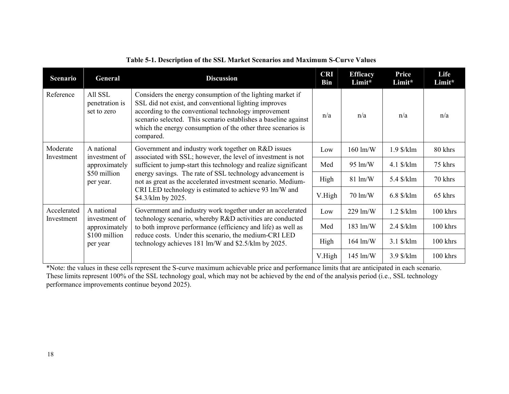| <b>Scenario</b>           | General                                  | <b>Discussion</b>                                                                                                                                                                                                                                                                                                           | <b>CRI</b><br><b>Bin</b> | <b>Efficacy</b><br>Limit* | Price<br>Limit* | Life<br>Limit* |
|---------------------------|------------------------------------------|-----------------------------------------------------------------------------------------------------------------------------------------------------------------------------------------------------------------------------------------------------------------------------------------------------------------------------|--------------------------|---------------------------|-----------------|----------------|
| Reference                 | All SSL<br>penetration is<br>set to zero | Considers the energy consumption of the lighting market if<br>SSL did not exist, and conventional lighting improves<br>according to the conventional technology improvement<br>scenario selected. This scenario establishes a baseline against<br>which the energy consumption of the other three scenarios is<br>compared. | n/a                      | n/a                       | n/a             | n/a            |
| Moderate<br>Investment    | A national<br>investment of              | Government and industry work together on R&D issues<br>associated with SSL; however, the level of investment is not                                                                                                                                                                                                         | Low                      | 160 lm/W                  | $1.9$ \$/klm    | 80 khrs        |
|                           | approximately                            | sufficient to jump-start this technology and realize significant                                                                                                                                                                                                                                                            | Med                      | 95 lm/W                   | $4.1$ \$/klm    | 75 khrs        |
|                           | \$50 million<br>per year.                | energy savings. The rate of SSL technology advancement is<br>not as great as the accelerated investment scenario. Medium-                                                                                                                                                                                                   | High                     | $81 \text{ lm/W}$         | 5.4 \$/klm      | 70 khrs        |
|                           |                                          | CRI LED technology is estimated to achieve 93 lm/W and<br>\$4.3/klm by 2025.                                                                                                                                                                                                                                                | V.High                   | 70 lm/W                   | $6.8$ \$/klm    | 65 khrs        |
| Accelerated<br>Investment | A national<br>investment of              | Government and industry work together under an accelerated<br>technology scenario, whereby R&D activities are conducted                                                                                                                                                                                                     | Low                      | $229 \text{ lm/W}$        | $1.2$ \$/klm    | 100 khrs       |
|                           | approximately                            | to both improve performance (efficiency and life) as well as                                                                                                                                                                                                                                                                | Med                      | $183 \text{ lm/W}$        | $2.4$ \$/klm    | 100 khrs       |
|                           | \$100 million<br>per year                | reduce costs. Under this scenario, the medium-CRI LED<br>technology achieves 181 lm/W and \$2.5/klm by 2025.                                                                                                                                                                                                                |                          | $164 \text{ lm/W}$        | $3.1$ \$/klm    | 100 khrs       |
|                           |                                          |                                                                                                                                                                                                                                                                                                                             | V.High                   | 145 lm/W                  | 3.9 \$/klm      | 100 khrs       |

### **Table 5-1. Description of the SSL Market Scenarios and Maximum S-Curve Values**

\*Note: the values in these cells represent the S-curve maximum achievable price and performance limits that are anticipated in each scenario. These limits represent 100% of the SSL technology goal, which may not be achieved by the end of the analysis period (i.e., SSL technology performance improvements continue beyond 2025).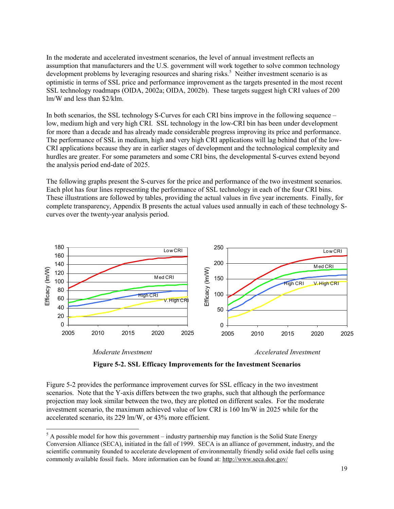In the moderate and accelerated investment scenarios, the level of annual investment reflects an assumption that manufacturers and the U.S. government will work together to solve common technology development problems by leveraging resources and sharing risks.<sup>5</sup> Neither investment scenario is as optimistic in terms of SSL price and performance improvement as the targets presented in the most recent SSL technology roadmaps (OIDA, 2002a; OIDA, 2002b). These targets suggest high CRI values of 200 lm/W and less than \$2/klm.

In both scenarios, the SSL technology S-Curves for each CRI bins improve in the following sequence – low, medium high and very high CRI. SSL technology in the low-CRI bin has been under development for more than a decade and has already made considerable progress improving its price and performance. The performance of SSL in medium, high and very high CRI applications will lag behind that of the low-CRI applications because they are in earlier stages of development and the technological complexity and hurdles are greater. For some parameters and some CRI bins, the developmental S-curves extend beyond the analysis period end-date of 2025.

The following graphs present the S-curves for the price and performance of the two investment scenarios. Each plot has four lines representing the performance of SSL technology in each of the four CRI bins. These illustrations are followed by tables, providing the actual values in five year increments. Finally, for complete transparency, Appendix B presents the actual values used annually in each of these technology Scurves over the twenty-year analysis period.



1

 *Moderate Investment Accelerated Investment* 

**Figure 5-2. SSL Efficacy Improvements for the Investment Scenarios** 

Figure 5-2 provides the performance improvement curves for SSL efficacy in the two investment scenarios. Note that the Y-axis differs between the two graphs, such that although the performance projection may look similar between the two, they are plotted on different scales. For the moderate investment scenario, the maximum achieved value of low CRI is 160 lm/W in 2025 while for the accelerated scenario, its 229 lm/W, or 43% more efficient.

 $<sup>5</sup>$  A possible model for how this government – industry partnership may function is the Solid State Energy</sup> Conversion Alliance (SECA), initiated in the fall of 1999. SECA is an alliance of government, industry, and the scientific community founded to accelerate development of environmentally friendly solid oxide fuel cells using commonly available fossil fuels. More information can be found at: http://www.seca.doe.gov/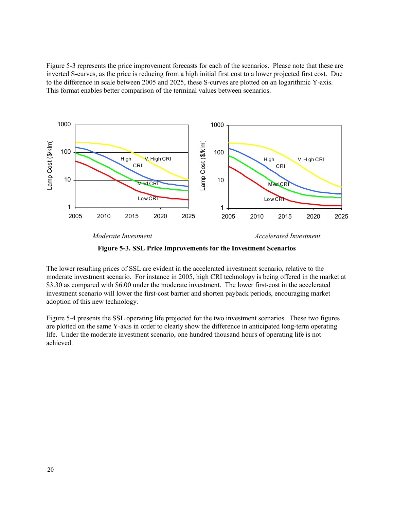Figure 5-3 represents the price improvement forecasts for each of the scenarios. Please note that these are inverted S-curves, as the price is reducing from a high initial first cost to a lower projected first cost. Due to the difference in scale between 2005 and 2025, these S-curves are plotted on an logarithmic Y-axis. This format enables better comparison of the terminal values between scenarios.



**Figure 5-3. SSL Price Improvements for the Investment Scenarios** 

The lower resulting prices of SSL are evident in the accelerated investment scenario, relative to the moderate investment scenario. For instance in 2005, high CRI technology is being offered in the market at \$3.30 as compared with \$6.00 under the moderate investment. The lower first-cost in the accelerated investment scenario will lower the first-cost barrier and shorten payback periods, encouraging market adoption of this new technology.

Figure 5-4 presents the SSL operating life projected for the two investment scenarios. These two figures are plotted on the same Y-axis in order to clearly show the difference in anticipated long-term operating life. Under the moderate investment scenario, one hundred thousand hours of operating life is not achieved.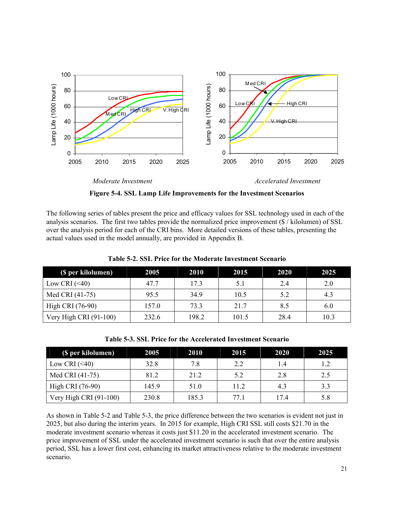

**Figure 5-4. SSL Lamp Life Improvements for the Investment Scenarios** 

The following series of tables present the price and efficacy values for SSL technology used in each of the analysis scenarios. The first two tables provide the normalized price improvement (\$ / kilolumen) of SSL over the analysis period for each of the CRI bins. More detailed versions of these tables, presenting the actual values used in the model annually, are provided in Appendix B.

| (\$ per kilolumen)     | 2005  | 2010  | 2015  | 2020 | 2025 |
|------------------------|-------|-------|-------|------|------|
| Low CRI $(\leq 40)$    | 47.7  | 17.3  | 5.1   | 2.4  | 2.0  |
| Med CRI (41-75)        | 95.5  | 34.9  | 10.5  | 5.2  | 4.3  |
| High CRI (76-90)       | 157.0 | 73.3  | 21.7  | 8.5  | 6.0  |
| Very High CRI (91-100) | 232.6 | 198.2 | 101.5 | 28.4 | 10.3 |

**Table 5-2. SSL Price for the Moderate Investment Scenario** 

**Table 5-3. SSL Price for the Accelerated Investment Scenario** 

| (\$ per kilolumen)       | 2005  | 2010  | 2015 | 2020 | 2025 |
|--------------------------|-------|-------|------|------|------|
| Low CRI $(\leq 40)$      | 32.8  | 7.8   | 2.2  | 1.4  |      |
| Med CRI (41-75)          | 81.2  | 21.2  | 5.2  | 2.8  | 2.5  |
| High CRI (76-90)         | 145.9 | 51.0  | 11.2 | 4.3  | 3.3  |
| Very High CRI $(91-100)$ | 230.8 | 185.3 | 77.1 | 174  | 5.8  |

As shown in Table 5-2 and Table 5-3, the price difference between the two scenarios is evident not just in 2025, but also during the interim years. In 2015 for example, High CRI SSL still costs \$21.70 in the moderate investment scenario whereas it costs just \$11.20 in the accelerated investment scenario. The price improvement of SSL under the accelerated investment scenario is such that over the entire analysis period, SSL has a lower first cost, enhancing its market attractiveness relative to the moderate investment scenario.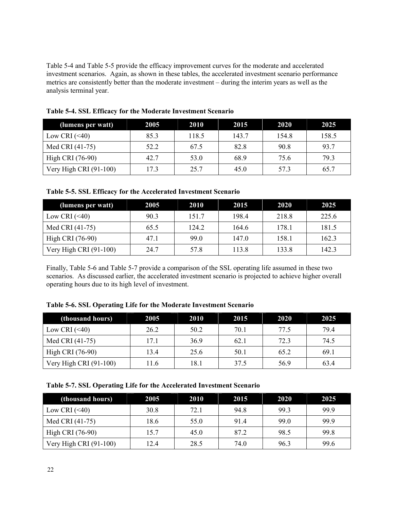Table 5-4 and Table 5-5 provide the efficacy improvement curves for the moderate and accelerated investment scenarios. Again, as shown in these tables, the accelerated investment scenario performance metrics are consistently better than the moderate investment – during the interim years as well as the analysis terminal year.

| (lumens per watt)        | 2005 | 2010  | 2015  | 2020  | 2025  |
|--------------------------|------|-------|-------|-------|-------|
| Low CRI $(\leq 40)$      | 85.3 | 118.5 | 143.7 | 154.8 | 158.5 |
| Med CRI (41-75)          | 52.2 | 67.5  | 82.8  | 90.8  | 93.7  |
| High CRI (76-90)         | 42.7 | 53.0  | 68.9  | 75.6  | 79.3  |
| Very High CRI $(91-100)$ | 17.3 | 25.7  | 45.0  | 57.3  | 65.7  |

**Table 5-4. SSL Efficacy for the Moderate Investment Scenario** 

#### **Table 5-5. SSL Efficacy for the Accelerated Investment Scenario**

| (lumens per watt)        | 2005 | 2010  | 2015  | 2020  | 2025  |
|--------------------------|------|-------|-------|-------|-------|
| Low CRI $(\leq 40)$      | 90.3 | 151.7 | 198.4 | 218.8 | 225.6 |
| Med CRI (41-75)          | 65.5 | 124.2 | 164.6 | 178.1 | 181.5 |
| High CRI (76-90)         | 47.1 | 99.0  | 147.0 | 158.1 | 162.3 |
| Very High CRI $(91-100)$ | 24.7 | 57.8  | 113.8 | 133.8 | 142.3 |

Finally, Table 5-6 and Table 5-7 provide a comparison of the SSL operating life assumed in these two scenarios. As discussed earlier, the accelerated investment scenario is projected to achieve higher overall operating hours due to its high level of investment.

| Table 5-6. SSL Operating Life for the Moderate Investment Scenario |  |  |  |
|--------------------------------------------------------------------|--|--|--|
|                                                                    |  |  |  |

| (thousand hours)       | 2005 | 2010 | 2015 | 2020 | 2025 |
|------------------------|------|------|------|------|------|
| Low CRI $(\leq 40)$    | 26.2 | 50.2 | 70.1 | 77.5 | 79.4 |
| Med CRI (41-75)        | 17.1 | 36.9 | 62.1 | 72.3 | 74.5 |
| High CRI (76-90)       | 13.4 | 25.6 | 50.1 | 65.2 | 69.1 |
| Very High CRI (91-100) | 11.6 | 18.1 | 37.5 | 56.9 | 63.4 |

## **Table 5-7. SSL Operating Life for the Accelerated Investment Scenario**

| (thousand hours)       | 2005 | 2010 | 2015 | 2020 | 2025 |
|------------------------|------|------|------|------|------|
| Low CRI $(\leq 40)$    | 30.8 | 72.1 | 94.8 | 99.3 | 99.9 |
| Med CRI (41-75)        | 18.6 | 55.0 | 91.4 | 99.0 | 99.9 |
| High CRI (76-90)       | 15.7 | 45.0 | 87.2 | 98.5 | 99.8 |
| Very High CRI (91-100) | 12.4 | 28.5 | 74.0 | 96.3 | 99.6 |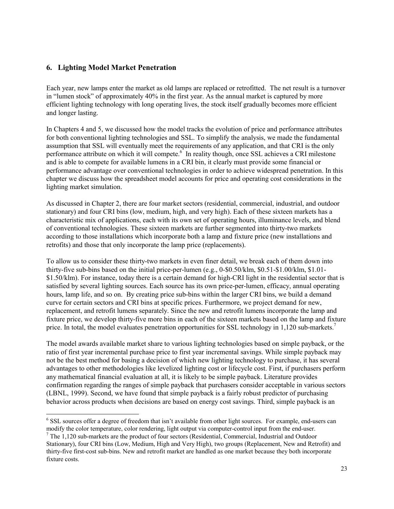## **6. Lighting Model Market Penetration**

Each year, new lamps enter the market as old lamps are replaced or retrofitted. The net result is a turnover in "lumen stock" of approximately 40% in the first year. As the annual market is captured by more efficient lighting technology with long operating lives, the stock itself gradually becomes more efficient and longer lasting.

In Chapters 4 and 5, we discussed how the model tracks the evolution of price and performance attributes for both conventional lighting technologies and SSL. To simplify the analysis, we made the fundamental assumption that SSL will eventually meet the requirements of any application, and that CRI is the only performance attribute on which it will compete.<sup>6</sup> In reality though, once SSL achieves a CRI milestone and is able to compete for available lumens in a CRI bin, it clearly must provide some financial or performance advantage over conventional technologies in order to achieve widespread penetration. In this chapter we discuss how the spreadsheet model accounts for price and operating cost considerations in the lighting market simulation.

As discussed in Chapter 2, there are four market sectors (residential, commercial, industrial, and outdoor stationary) and four CRI bins (low, medium, high, and very high). Each of these sixteen markets has a characteristic mix of applications, each with its own set of operating hours, illuminance levels, and blend of conventional technologies. These sixteen markets are further segmented into thirty-two markets according to those installations which incorporate both a lamp and fixture price (new installations and retrofits) and those that only incorporate the lamp price (replacements).

To allow us to consider these thirty-two markets in even finer detail, we break each of them down into thirty-five sub-bins based on the initial price-per-lumen (e.g., 0-\$0.50/klm, \$0.51-\$1.00/klm, \$1.01- \$1.50/klm). For instance, today there is a certain demand for high-CRI light in the residential sector that is satisfied by several lighting sources. Each source has its own price-per-lumen, efficacy, annual operating hours, lamp life, and so on. By creating price sub-bins within the larger CRI bins, we build a demand curve for certain sectors and CRI bins at specific prices. Furthermore, we project demand for new, replacement, and retrofit lumens separately. Since the new and retrofit lumens incorporate the lamp and fixture price, we develop thirty-five more bins in each of the sixteen markets based on the lamp and fixture price. In total, the model evaluates penetration opportunities for SSL technology in 1,120 sub-markets.<sup>7</sup>

The model awards available market share to various lighting technologies based on simple payback, or the ratio of first year incremental purchase price to first year incremental savings. While simple payback may not be the best method for basing a decision of which new lighting technology to purchase, it has several advantages to other methodologies like levelized lighting cost or lifecycle cost. First, if purchasers perform any mathematical financial evaluation at all, it is likely to be simple payback. Literature provides confirmation regarding the ranges of simple payback that purchasers consider acceptable in various sectors (LBNL, 1999). Second, we have found that simple payback is a fairly robust predictor of purchasing behavior across products when decisions are based on energy cost savings. Third, simple payback is an

<sup>1</sup> <sup>6</sup> SSL sources offer a degree of freedom that isn't available from other light sources. For example, end-users can modify the color temperature, color rendering, light output via computer-control input from the end-user. 7

 $\frac{7}{1}$  The 1.120 sub-markets are the product of four sectors (Residential, Commercial, Industrial and Outdoor Stationary), four CRI bins (Low, Medium, High and Very High), two groups (Replacement, New and Retrofit) and thirty-five first-cost sub-bins. New and retrofit market are handled as one market because they both incorporate fixture costs.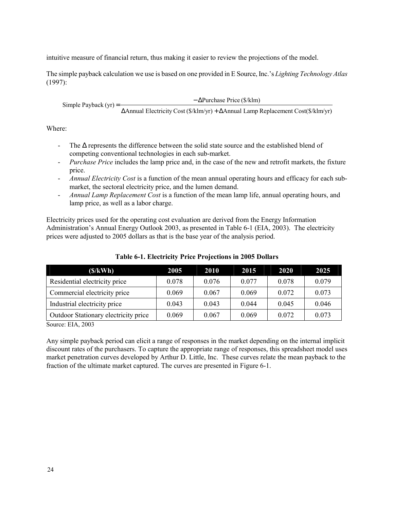intuitive measure of financial return, thus making it easier to review the projections of the model.

The simple payback calculation we use is based on one provided in E Source, Inc.'s *Lighting Technology Atlas* (1997):

∆Annual Electricity Cost (\$/klm/yr) + ∆Annual Lamp Replacement Cost(\$/klm/yr) Simple Payback (yr) =  $-\Delta$ Purchase Price (\$/klm)  $=\frac{\Delta}{\Delta}$ 

Where:

- The ∆ represents the difference between the solid state source and the established blend of competing conventional technologies in each sub-market.
- *Purchase Price* includes the lamp price and, in the case of the new and retrofit markets, the fixture price.
- *Annual Electricity Cost* is a function of the mean annual operating hours and efficacy for each submarket, the sectoral electricity price, and the lumen demand.
- *Annual Lamp Replacement Cost* is a function of the mean lamp life, annual operating hours, and lamp price, as well as a labor charge.

Electricity prices used for the operating cost evaluation are derived from the Energy Information Administration's Annual Energy Outlook 2003, as presented in Table 6-1 (EIA, 2003). The electricity prices were adjusted to 2005 dollars as that is the base year of the analysis period.

| 2005  | 2010  | 2015  | 2020  | 2025  |
|-------|-------|-------|-------|-------|
| 0.078 | 0.076 | 0.077 | 0.078 | 0.079 |
| 0.069 | 0.067 | 0.069 | 0.072 | 0.073 |
| 0.043 | 0.043 | 0.044 | 0.045 | 0.046 |
| 0.069 | 0.067 | 0.069 | 0.072 | 0.073 |
|       |       |       |       |       |

**Table 6-1. Electricity Price Projections in 2005 Dollars** 

Source: EIA, 2003

Any simple payback period can elicit a range of responses in the market depending on the internal implicit discount rates of the purchasers. To capture the appropriate range of responses, this spreadsheet model uses market penetration curves developed by Arthur D. Little, Inc. These curves relate the mean payback to the fraction of the ultimate market captured. The curves are presented in Figure 6-1.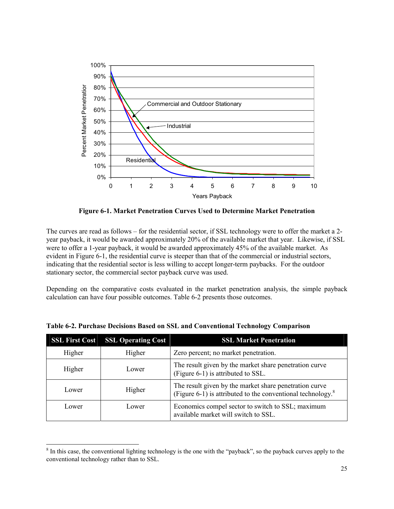

**Figure 6-1. Market Penetration Curves Used to Determine Market Penetration** 

The curves are read as follows – for the residential sector, if SSL technology were to offer the market a 2 year payback, it would be awarded approximately 20% of the available market that year. Likewise, if SSL were to offer a 1-year payback, it would be awarded approximately 45% of the available market. As evident in Figure 6-1, the residential curve is steeper than that of the commercial or industrial sectors, indicating that the residential sector is less willing to accept longer-term paybacks. For the outdoor stationary sector, the commercial sector payback curve was used.

Depending on the comparative costs evaluated in the market penetration analysis, the simple payback calculation can have four possible outcomes. Table 6-2 presents those outcomes.

| <b>SSL First Cost</b> | <b>SSL Operating Cost</b> | <b>SSL Market Penetration</b>                                                                                            |
|-----------------------|---------------------------|--------------------------------------------------------------------------------------------------------------------------|
| Higher                | Higher                    | Zero percent; no market penetration.                                                                                     |
| Higher                | Lower                     | The result given by the market share penetration curve<br>(Figure 6-1) is attributed to SSL.                             |
| Lower                 | Higher                    | The result given by the market share penetration curve<br>(Figure 6-1) is attributed to the conventional technology. $8$ |
| Lower                 | Lower                     | Economics compel sector to switch to SSL; maximum<br>available market will switch to SSL.                                |

**Table 6-2. Purchase Decisions Based on SSL and Conventional Technology Comparison** 

1

 $8$  In this case, the conventional lighting technology is the one with the "payback", so the payback curves apply to the conventional technology rather than to SSL.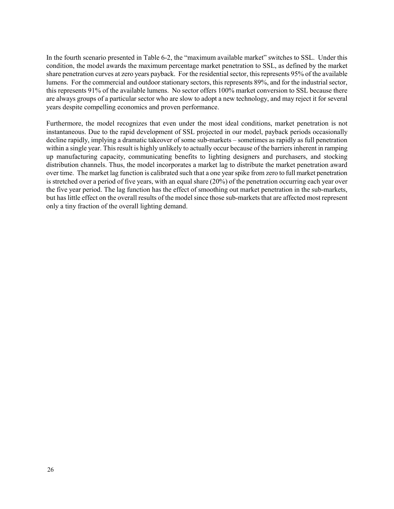In the fourth scenario presented in Table 6-2, the "maximum available market" switches to SSL. Under this condition, the model awards the maximum percentage market penetration to SSL, as defined by the market share penetration curves at zero years payback. For the residential sector, this represents 95% of the available lumens. For the commercial and outdoor stationary sectors, this represents 89%, and for the industrial sector, this represents 91% of the available lumens. No sector offers 100% market conversion to SSL because there are always groups of a particular sector who are slow to adopt a new technology, and may reject it for several years despite compelling economics and proven performance.

Furthermore, the model recognizes that even under the most ideal conditions, market penetration is not instantaneous. Due to the rapid development of SSL projected in our model, payback periods occasionally decline rapidly, implying a dramatic takeover of some sub-markets – sometimes as rapidly as full penetration within a single year. This result is highly unlikely to actually occur because of the barriers inherent in ramping up manufacturing capacity, communicating benefits to lighting designers and purchasers, and stocking distribution channels. Thus, the model incorporates a market lag to distribute the market penetration award over time. The market lag function is calibrated such that a one year spike from zero to full market penetration is stretched over a period of five years, with an equal share (20%) of the penetration occurring each year over the five year period. The lag function has the effect of smoothing out market penetration in the sub-markets, but has little effect on the overall results of the model since those sub-markets that are affected most represent only a tiny fraction of the overall lighting demand.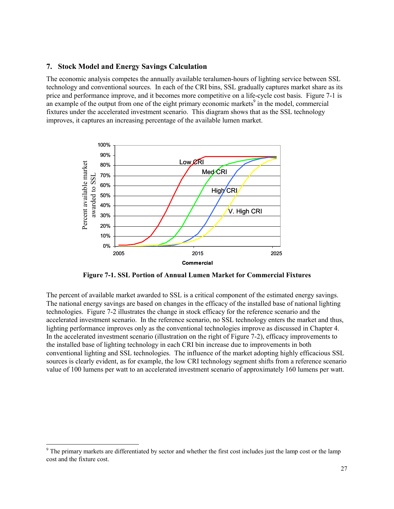### **7. Stock Model and Energy Savings Calculation**

The economic analysis competes the annually available teralumen-hours of lighting service between SSL technology and conventional sources. In each of the CRI bins, SSL gradually captures market share as its price and performance improve, and it becomes more competitive on a life-cycle cost basis. Figure 7-1 is an example of the output from one of the eight primary economic markets<sup>9</sup> in the model, commercial fixtures under the accelerated investment scenario. This diagram shows that as the SSL technology improves, it captures an increasing percentage of the available lumen market.



**Figure 7-1. SSL Portion of Annual Lumen Market for Commercial Fixtures** 

The percent of available market awarded to SSL is a critical component of the estimated energy savings. The national energy savings are based on changes in the efficacy of the installed base of national lighting technologies. Figure 7-2 illustrates the change in stock efficacy for the reference scenario and the accelerated investment scenario. In the reference scenario, no SSL technology enters the market and thus, lighting performance improves only as the conventional technologies improve as discussed in Chapter 4. In the accelerated investment scenario (illustration on the right of Figure 7-2), efficacy improvements to the installed base of lighting technology in each CRI bin increase due to improvements in both conventional lighting and SSL technologies. The influence of the market adopting highly efficacious SSL sources is clearly evident, as for example, the low CRI technology segment shifts from a reference scenario value of 100 lumens per watt to an accelerated investment scenario of approximately 160 lumens per watt.

1

<sup>&</sup>lt;sup>9</sup> The primary markets are differentiated by sector and whether the first cost includes just the lamp cost or the lamp cost and the fixture cost.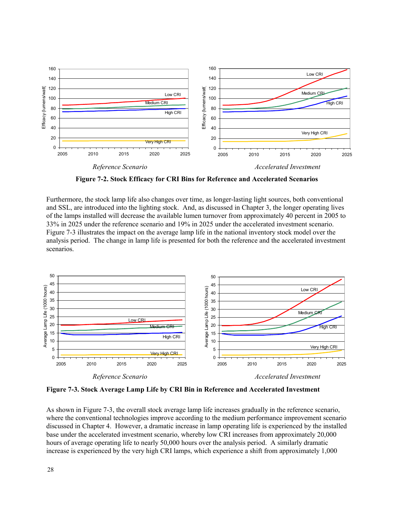

**Figure 7-2. Stock Efficacy for CRI Bins for Reference and Accelerated Scenarios** 

Furthermore, the stock lamp life also changes over time, as longer-lasting light sources, both conventional and SSL, are introduced into the lighting stock. And, as discussed in Chapter 3, the longer operating lives of the lamps installed will decrease the available lumen turnover from approximately 40 percent in 2005 to 33% in 2025 under the reference scenario and 19% in 2025 under the accelerated investment scenario. Figure 7-3 illustrates the impact on the average lamp life in the national inventory stock model over the analysis period. The change in lamp life is presented for both the reference and the accelerated investment scenarios.



**Figure 7-3. Stock Average Lamp Life by CRI Bin in Reference and Accelerated Investment** 

As shown in Figure 7-3, the overall stock average lamp life increases gradually in the reference scenario, where the conventional technologies improve according to the medium performance improvement scenario discussed in Chapter 4. However, a dramatic increase in lamp operating life is experienced by the installed base under the accelerated investment scenario, whereby low CRI increases from approximately 20,000 hours of average operating life to nearly 50,000 hours over the analysis period. A similarly dramatic increase is experienced by the very high CRI lamps, which experience a shift from approximately 1,000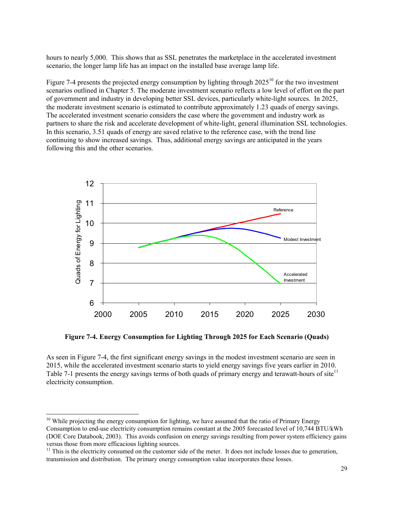hours to nearly 5,000. This shows that as SSL penetrates the marketplace in the accelerated investment scenario, the longer lamp life has an impact on the installed base average lamp life.

Figure 7-4 presents the projected energy consumption by lighting through  $2025^{10}$  for the two investment scenarios outlined in Chapter 5. The moderate investment scenario reflects a low level of effort on the part of government and industry in developing better SSL devices, particularly white-light sources. In 2025, the moderate investment scenario is estimated to contribute approximately 1.23 quads of energy savings. The accelerated investment scenario considers the case where the government and industry work as partners to share the risk and accelerate development of white-light, general illumination SSL technologies. In this scenario, 3.51 quads of energy are saved relative to the reference case, with the trend line continuing to show increased savings. Thus, additional energy savings are anticipated in the years following this and the other scenarios.



**Figure 7-4. Energy Consumption for Lighting Through 2025 for Each Scenario (Quads)** 

As seen in Figure 7-4, the first significant energy savings in the modest investment scenario are seen in 2015, while the accelerated investment scenario starts to yield energy savings five years earlier in 2010. Table 7-1 presents the energy savings terms of both quads of primary energy and terawatt-hours of site<sup>11</sup> electricity consumption.

1

 $10$  While projecting the energy consumption for lighting, we have assumed that the ratio of Primary Energy Consumption to end-use electricity consumption remains constant at the 2005 forecasted level of 10,744 BTU/kWh (DOE Core Databook, 2003). This avoids confusion on energy savings resulting from power system efficiency gains versus those from more efficacious lighting sources.

 $11$  This is the electricity consumed on the customer side of the meter. It does not include losses due to generation, transmission and distribution. The primary energy consumption value incorporates these losses.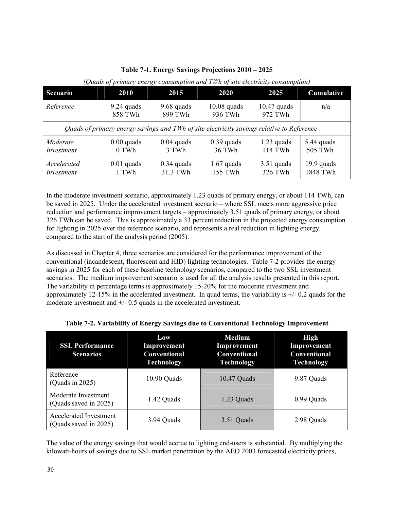| <b>Scenario</b>                                                                           | <b>2010</b>             | 2015                     | 2020                     | 2025                     | Cumulative               |  |  |  |  |  |
|-------------------------------------------------------------------------------------------|-------------------------|--------------------------|--------------------------|--------------------------|--------------------------|--|--|--|--|--|
| Reference                                                                                 | $9.24$ quads<br>858 TWh | $9.68$ quads<br>899 TWh  | $10.08$ quads<br>936 TWh | $10.47$ quads<br>972 TWh | n/a                      |  |  |  |  |  |
| Quads of primary energy savings and TWh of site electricity savings relative to Reference |                         |                          |                          |                          |                          |  |  |  |  |  |
| Moderate<br>Investment                                                                    | $0.00$ quads<br>0 TWh   | $0.04$ quads<br>3 TWh    | $0.39$ quads<br>36 TWh   | $1.23$ quads<br>114 TWh  | 5.44 quads<br>505 TWh    |  |  |  |  |  |
| Accelerated<br>Investment                                                                 | $0.01$ quads<br>1 TWh   | $0.34$ quads<br>31.3 TWh | $1.67$ quads<br>155 TWh  | $3.51$ quads<br>326 TWh  | $19.9$ quads<br>1848 TWh |  |  |  |  |  |

**Table 7-1. Energy Savings Projections 2010 – 2025** 

*(Quads of primary energy consumption and TWh of site electricity consumption)* 

In the moderate investment scenario, approximately 1.23 quads of primary energy, or about 114 TWh, can be saved in 2025. Under the accelerated investment scenario – where SSL meets more aggressive price reduction and performance improvement targets – approximately 3.51 quads of primary energy, or about 326 TWh can be saved. This is approximately a 33 percent reduction in the projected energy consumption for lighting in 2025 over the reference scenario, and represents a real reduction in lighting energy compared to the start of the analysis period (2005).

As discussed in Chapter 4, three scenarios are considered for the performance improvement of the conventional (incandescent, fluorescent and HID) lighting technologies. Table 7-2 provides the energy savings in 2025 for each of these baseline technology scenarios, compared to the two SSL investment scenarios. The medium improvement scenario is used for all the analysis results presented in this report. The variability in percentage terms is approximately 15-20% for the moderate investment and approximately 12-15% in the accelerated investment. In quad terms, the variability is  $+/- 0.2$  quads for the moderate investment and +/- 0.5 quads in the accelerated investment.

| <b>SSL Performance</b><br><b>Scenarios</b>      | Low<br>Improvement<br><b>Conventional</b><br><b>Technology</b> | <b>Medium</b><br>Improvement<br><b>Conventional</b><br><b>Technology</b> | <b>High</b><br>Improvement<br><b>Conventional</b><br><b>Technology</b> |  |  |
|-------------------------------------------------|----------------------------------------------------------------|--------------------------------------------------------------------------|------------------------------------------------------------------------|--|--|
| Reference<br>(Quads in $2025$ )                 | 10.90 Quads                                                    | 10.47 Quads                                                              | 9.87 Quads                                                             |  |  |
| Moderate Investment<br>(Quads saved in 2025)    | 1.42 Quads                                                     | 1.23 Quads                                                               | 0.99 Quads                                                             |  |  |
| Accelerated Investment<br>(Quads saved in 2025) | 3.94 Quads                                                     | 3.51 Quads                                                               | 2.98 Quads                                                             |  |  |

| Table 7-2. Variability of Energy Savings due to Conventional Technology Improvement |  |  |
|-------------------------------------------------------------------------------------|--|--|
|                                                                                     |  |  |
|                                                                                     |  |  |

The value of the energy savings that would accrue to lighting end-users is substantial. By multiplying the kilowatt-hours of savings due to SSL market penetration by the AEO 2003 forecasted electricity prices,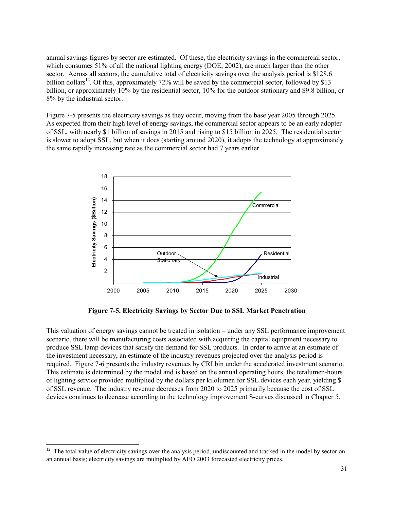annual savings figures by sector are estimated. Of these, the electricity savings in the commercial sector, which consumes 51% of all the national lighting energy (DOE, 2002), are much larger than the other sector. Across all sectors, the cumulative total of electricity savings over the analysis period is \$128.6 billion dollars<sup>12</sup>. Of this, approximately 72% will be saved by the commercial sector, followed by \$13 billion, or approximately 10% by the residential sector, 10% for the outdoor stationary and \$9.8 billion, or 8% by the industrial sector.

Figure 7-5 presents the electricity savings as they occur, moving from the base year 2005 through 2025. As expected from their high level of energy savings, the commercial sector appears to be an early adopter of SSL, with nearly \$1 billion of savings in 2015 and rising to \$15 billion in 2025. The residential sector is slower to adopt SSL, but when it does (starting around 2020), it adopts the technology at approximately the same rapidly increasing rate as the commercial sector had 7 years earlier.



**Figure 7-5. Electricity Savings by Sector Due to SSL Market Penetration** 

This valuation of energy savings cannot be treated in isolation – under any SSL performance improvement scenario, there will be manufacturing costs associated with acquiring the capital equipment necessary to produce SSL lamp devices that satisfy the demand for SSL products. In order to arrive at an estimate of the investment necessary, an estimate of the industry revenues projected over the analysis period is required. Figure 7-6 presents the industry revenues by CRI bin under the accelerated investment scenario. This estimate is determined by the model and is based on the annual operating hours, the teralumen-hours of lighting service provided multiplied by the dollars per kilolumen for SSL devices each year, yielding \$ of SSL revenue. The industry revenue decreases from 2020 to 2025 primarily because the cost of SSL devices continues to decrease according to the technology improvement S-curves discussed in Chapter 5.

l

 $12$  The total value of electricity savings over the analysis period, undiscounted and tracked in the model by sector on an annual basis; electricity savings are multiplied by AEO 2003 forecasted electricity prices.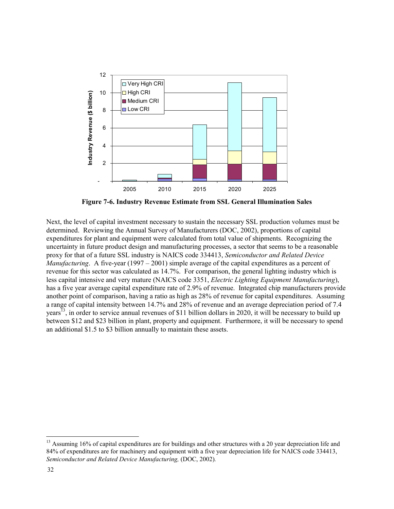

**Figure 7-6. Industry Revenue Estimate from SSL General Illumination Sales** 

Next, the level of capital investment necessary to sustain the necessary SSL production volumes must be determined. Reviewing the Annual Survey of Manufacturers (DOC, 2002), proportions of capital expenditures for plant and equipment were calculated from total value of shipments. Recognizing the uncertainty in future product design and manufacturing processes, a sector that seems to be a reasonable proxy for that of a future SSL industry is NAICS code 334413, *Semiconductor and Related Device Manufacturing*. A five-year (1997 – 2001) simple average of the capital expenditures as a percent of revenue for this sector was calculated as 14.7%. For comparison, the general lighting industry which is less capital intensive and very mature (NAICS code 3351, *Electric Lighting Equipment Manufacturing*), has a five year average capital expenditure rate of 2.9% of revenue. Integrated chip manufacturers provide another point of comparison, having a ratio as high as 28% of revenue for capital expenditures. Assuming a range of capital intensity between 14.7% and 28% of revenue and an average depreciation period of 7.4 years<sup>13</sup>, in order to service annual revenues of \$11 billion dollars in 2020, it will be necessary to build up between \$12 and \$23 billion in plant, property and equipment. Furthermore, it will be necessary to spend an additional \$1.5 to \$3 billion annually to maintain these assets.

l

 $13$  Assuming 16% of capital expenditures are for buildings and other structures with a 20 year depreciation life and 84% of expenditures are for machinery and equipment with a five year depreciation life for NAICS code 334413, *Semiconductor and Related Device Manufacturing,* (DOC, 2002)*.*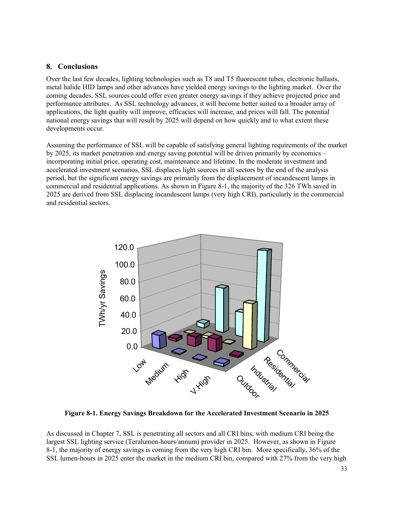#### **8. Conclusions**

Over the last few decades, lighting technologies such as T8 and T5 fluorescent tubes, electronic ballasts, metal halide HID lamps and other advances have yielded energy savings to the lighting market. Over the coming decades, SSL sources could offer even greater energy savings if they achieve projected price and performance attributes. As SSL technology advances, it will become better suited to a broader array of applications, the light quality will improve, efficacies will increase, and prices will fall. The potential national energy savings that will result by 2025 will depend on how quickly and to what extent these developments occur.

Assuming the performance of SSL will be capable of satisfying general lighting requirements of the market by 2025, its market penetration and energy saving potential will be driven primarily by economics – incorporating initial price, operating cost, maintenance and lifetime. In the moderate investment and accelerated investment scenarios, SSL displaces light sources in all sectors by the end of the analysis period, but the significant energy savings are primarily from the displacement of incandescent lamps in commercial and residential applications. As shown in Figure 8-1, the majority of the 326 TWh saved in 2025 are derived from SSL displacing incandescent lamps (very high CRI), particularly in the commercial and residential sectors.



**Figure 8-1. Energy Savings Breakdown for the Accelerated Investment Scenario in 2025** 

As discussed in Chapter 7, SSL is penetrating all sectors and all CRI bins, with medium CRI being the largest SSL lighting service (Teralumen-hours/annum) provider in 2025. However, as shown in Figure 8-1, the majority of energy savings is coming from the very high CRI bin. More specifically, 36% of the SSL lumen-hours in 2025 enter the market in the medium CRI bin, compared with 27% from the very high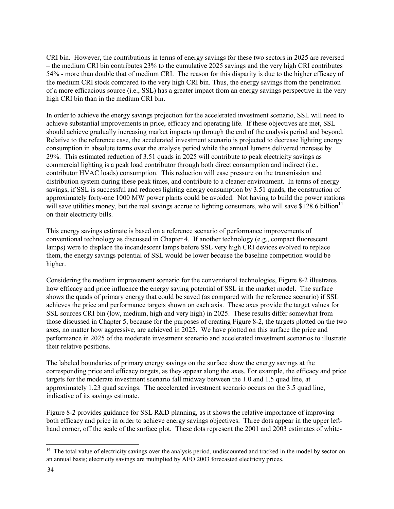CRI bin. However, the contributions in terms of energy savings for these two sectors in 2025 are reversed – the medium CRI bin contributes 23% to the cumulative 2025 savings and the very high CRI contributes 54% - more than double that of medium CRI. The reason for this disparity is due to the higher efficacy of the medium CRI stock compared to the very high CRI bin. Thus, the energy savings from the penetration of a more efficacious source (i.e., SSL) has a greater impact from an energy savings perspective in the very high CRI bin than in the medium CRI bin.

In order to achieve the energy savings projection for the accelerated investment scenario, SSL will need to achieve substantial improvements in price, efficacy and operating life. If these objectives are met, SSL should achieve gradually increasing market impacts up through the end of the analysis period and beyond. Relative to the reference case, the accelerated investment scenario is projected to decrease lighting energy consumption in absolute terms over the analysis period while the annual lumens delivered increase by 29%. This estimated reduction of 3.51 quads in 2025 will contribute to peak electricity savings as commercial lighting is a peak load contributor through both direct consumption and indirect (i.e., contributor HVAC loads) consumption. This reduction will ease pressure on the transmission and distribution system during these peak times, and contribute to a cleaner environment. In terms of energy savings, if SSL is successful and reduces lighting energy consumption by 3.51 quads, the construction of approximately forty-one 1000 MW power plants could be avoided. Not having to build the power stations will save utilities money, but the real savings accrue to lighting consumers, who will save \$128.6 billion<sup>14</sup> on their electricity bills.

This energy savings estimate is based on a reference scenario of performance improvements of conventional technology as discussed in Chapter 4. If another technology (e.g., compact fluorescent lamps) were to displace the incandescent lamps before SSL very high CRI devices evolved to replace them, the energy savings potential of SSL would be lower because the baseline competition would be higher.

Considering the medium improvement scenario for the conventional technologies, Figure 8-2 illustrates how efficacy and price influence the energy saving potential of SSL in the market model. The surface shows the quads of primary energy that could be saved (as compared with the reference scenario) if SSL achieves the price and performance targets shown on each axis. These axes provide the target values for SSL sources CRI bin (low, medium, high and very high) in 2025. These results differ somewhat from those discussed in Chapter 5, because for the purposes of creating Figure 8-2, the targets plotted on the two axes, no matter how aggressive, are achieved in 2025. We have plotted on this surface the price and performance in 2025 of the moderate investment scenario and accelerated investment scenarios to illustrate their relative positions.

The labeled boundaries of primary energy savings on the surface show the energy savings at the corresponding price and efficacy targets, as they appear along the axes. For example, the efficacy and price targets for the moderate investment scenario fall midway between the 1.0 and 1.5 quad line, at approximately 1.23 quad savings. The accelerated investment scenario occurs on the 3.5 quad line, indicative of its savings estimate.

Figure 8-2 provides guidance for SSL R&D planning, as it shows the relative importance of improving both efficacy and price in order to achieve energy savings objectives. Three dots appear in the upper lefthand corner, off the scale of the surface plot. These dots represent the 2001 and 2003 estimates of white-

l

<sup>&</sup>lt;sup>14</sup> The total value of electricity savings over the analysis period, undiscounted and tracked in the model by sector on an annual basis; electricity savings are multiplied by AEO 2003 forecasted electricity prices.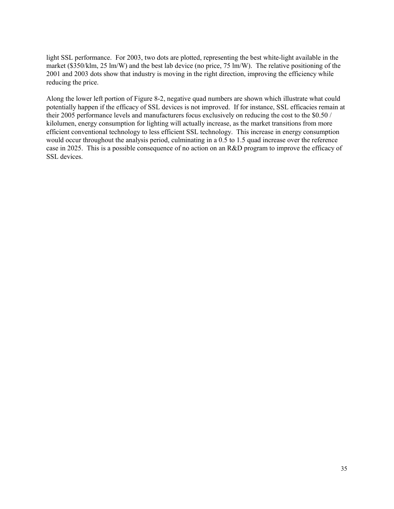light SSL performance. For 2003, two dots are plotted, representing the best white-light available in the market (\$350/klm, 25 lm/W) and the best lab device (no price, 75 lm/W). The relative positioning of the 2001 and 2003 dots show that industry is moving in the right direction, improving the efficiency while reducing the price.

Along the lower left portion of Figure 8-2, negative quad numbers are shown which illustrate what could potentially happen if the efficacy of SSL devices is not improved. If for instance, SSL efficacies remain at their 2005 performance levels and manufacturers focus exclusively on reducing the cost to the \$0.50 / kilolumen, energy consumption for lighting will actually increase, as the market transitions from more efficient conventional technology to less efficient SSL technology. This increase in energy consumption would occur throughout the analysis period, culminating in a 0.5 to 1.5 quad increase over the reference case in 2025. This is a possible consequence of no action on an R&D program to improve the efficacy of SSL devices.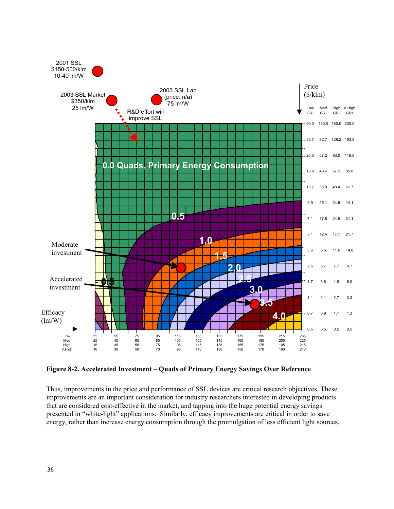

**Figure 8-2. Accelerated Investment – Quads of Primary Energy Savings Over Reference** 

Thus, improvements in the price and performance of SSL devices are critical research objectives. These improvements are an important consideration for industry researchers interested in developing products that are considered cost-effective in the market, and tapping into the huge potential energy savings presented in "white-light" applications. Similarly, efficacy improvements are critical in order to save energy, rather than increase energy consumption through the promulgation of less efficient light sources.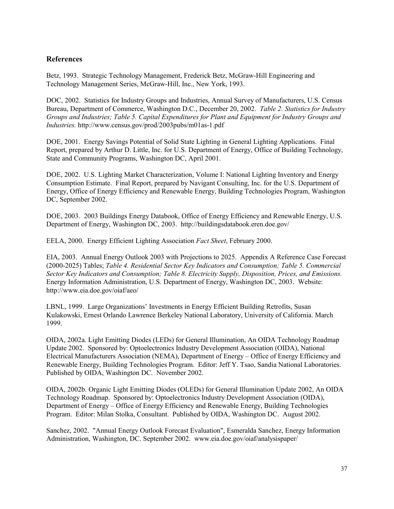## **References**

Betz, 1993. Strategic Technology Management, Frederick Betz, McGraw-Hill Engineering and Technology Management Series, McGraw-Hill, Inc., New York, 1993.

DOC, 2002. Statistics for Industry Groups and Industries, Annual Survey of Manufacturers, U.S. Census Bureau, Department of Commerce, Washington D.C., December 20, 2002. *Table 2. Statistics for Industry Groups and Industries; Table 5. Capital Expenditures for Plant and Equipment for Industry Groups and Industries.* http://www.census.gov/prod/2003pubs/m01as-1.pdf

DOE, 2001. Energy Savings Potential of Solid State Lighting in General Lighting Applications. Final Report, prepared by Arthur D. Little, Inc. for U.S. Department of Energy, Office of Building Technology, State and Community Programs, Washington DC, April 2001.

DOE, 2002. U.S. Lighting Market Characterization, Volume I: National Lighting Inventory and Energy Consumption Estimate. Final Report, prepared by Navigant Consulting, Inc. for the U.S. Department of Energy, Office of Energy Efficiency and Renewable Energy, Building Technologies Program, Washington DC, September 2002.

DOE, 2003. 2003 Buildings Energy Databook, Office of Energy Efficiency and Renewable Energy, U.S. Department of Energy, Washington DC, 2003. http://buildingsdatabook.eren.doe.gov/

EELA, 2000. Energy Efficient Lighting Association *Fact Sheet*, February 2000.

EIA, 2003. Annual Energy Outlook 2003 with Projections to 2025. Appendix A Reference Case Forecast (2000-2025) Tables; *Table 4. Residential Sector Key Indicators and Consumption; Table 5. Commercial Sector Key Indicators and Consumption; Table 8. Electricity Supply, Disposition, Prices, and Emissions.* Energy Information Administration, U.S. Department of Energy, Washington DC, 2003. Website: http://www.eia.doe.gov/oiaf/aeo/

LBNL, 1999. Large Organizations' Investments in Energy Efficient Building Retrofits, Susan Kulakowski, Ernest Orlando Lawrence Berkeley National Laboratory, University of California. March 1999.

OIDA, 2002a. Light Emitting Diodes (LEDs) for General Illumination, An OIDA Technology Roadmap Update 2002. Sponsored by: Optoelectronics Industry Development Association (OIDA), National Electrical Manufacturers Association (NEMA), Department of Energy – Office of Energy Efficiency and Renewable Energy, Building Technologies Program. Editor: Jeff Y. Tsao, Sandia National Laboratories. Published by OIDA, Washington DC. November 2002.

OIDA, 2002b. Organic Light Emitting Diodes (OLEDs) for General Illumination Update 2002, An OIDA Technology Roadmap. Sponsored by: Optoelectronics Industry Development Association (OIDA), Department of Energy – Office of Energy Efficiency and Renewable Energy, Building Technologies Program. Editor: Milan Stolka, Consultant. Published by OIDA, Washington DC. August 2002.

Sanchez, 2002. "Annual Energy Outlook Forecast Evaluation", Esmeralda Sanchez, Energy Information Administration, Washington, DC. September 2002. www.eia.doe.gov/oiaf/analysispaper/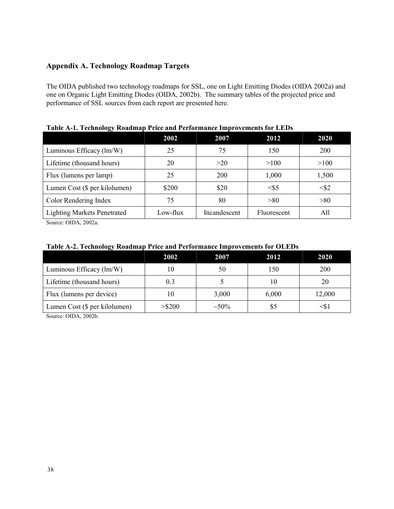# **Appendix A. Technology Roadmap Targets**

The OIDA published two technology roadmaps for SSL, one on Light Emitting Diodes (OIDA 2002a) and one on Organic Light Emitting Diodes (OIDA, 2002b). The summary tables of the projected price and performance of SSL sources from each report are presented here.

| -- <b>.</b> .                      | 2002     | 2007         | 2012        | 2020      |
|------------------------------------|----------|--------------|-------------|-----------|
| Luminous Efficacy (lm/W)           | 25       | 75           | 150         | 200       |
| Lifetime (thousand hours)          | 20       | >20          | >100        | >100      |
| Flux (lumens per lamp)             | 25       | 200          | 1,000       | 1,500     |
| Lumen Cost (\$ per kilolumen)      | \$200    | \$20         | $<\!\!55$   | $<\!\!52$ |
| Color Rendering Index              | 75       | 80           | > 80        | > 80      |
| <b>Lighting Markets Penetrated</b> | Low-flux | Incandescent | Fluorescent | All       |

**Table A-1. Technology Roadmap Price and Performance Improvements for LEDs** 

Source: OIDA, 2002a.

### **Table A-2. Technology Roadmap Price and Performance Improvements for OLEDs**

|                               | 2002      | 2007        | 2012  | <b>2020</b> |
|-------------------------------|-----------|-------------|-------|-------------|
| Luminous Efficacy (lm/W)      | 10        | 50          | 150   | 200         |
| Lifetime (thousand hours)     | 0.3       |             | 10    | 20          |
| Flux (lumens per device)      | 10        | 3,000       | 6,000 | 12,000      |
| Lumen Cost (\$ per kilolumen) | $>$ \$200 | $\sim 50\%$ | \$5   | <Տ.         |

Source: OIDA, 2002b.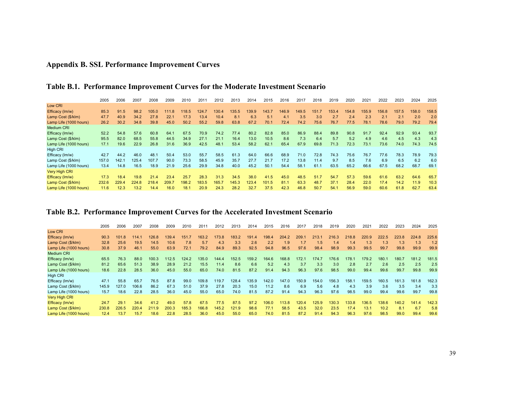# **Appendix B. SSL Performance Improvement Curves**

|                        | 2005  | 2006  | 2007  | 2008  | 2009  | 2010  | 201'  | 2012  | 2013  | 2014  | 2015  | 2016  | 2017  | 2018  | 2019  | 2020  | 2021  | 2022  | 2023  | 2024  | 2025  |
|------------------------|-------|-------|-------|-------|-------|-------|-------|-------|-------|-------|-------|-------|-------|-------|-------|-------|-------|-------|-------|-------|-------|
| Low CRI                |       |       |       |       |       |       |       |       |       |       |       |       |       |       |       |       |       |       |       |       |       |
| Efficacy (Im/w)        | 85.3  | 91.5  | 98.2  | 105.0 | 111.8 | 118.5 | 124.7 | 130.4 | 135.5 | 139.9 | 143.7 | 146.9 | 149.5 | 151.7 | 153.4 | 154.8 | 155.9 | 156.8 | 157.5 | 158.0 | 158.5 |
| Lamp Cost (\$/klm)     | 47.7  | 40.9  | 34.2  | 27.8  | 22.1  | 17.3  | 13.4  | 10.4  | 8.1   | 6.3   | 5.1   | 4.1   | 3.5   | 3.0   | 2.7   | 2.4   | 2.3   | 2.1   | 2.1   | 2.0   | 2.0   |
| Lamp Life (1000 hours) | 26.2  | 30.2  | 34.8  | 39.8  | 45.0  | 50.2  | 55.2  | 59.8  | 63.8  | 67.2  | 70.1  | 72.4  | 74.2  | 75.6  | 76.7  | 77.5  | 78.1  | 78.6  | 79.0  | 79.2  | 79.4  |
| <b>Medium CRI</b>      |       |       |       |       |       |       |       |       |       |       |       |       |       |       |       |       |       |       |       |       |       |
| Efficacy (Im/w)        | 52.2  | 54.8  | 57.6  | 60.8  | 64.1  | 67.5  | 70.9  | 74.2  | 77.4  | 80.2  | 82.8  | 85.0  | 86.9  | 88.4  | 89.8  | 90.8  | 91.7  | 92.4  | 92.9  | 93.4  | 93.7  |
| Lamp Cost (\$/klm)     | 95.5  | 82.0  | 68.5  | 55.8  | 44.5  | 34.9  | 27.1  | 21.1  | 16.4  | 13.0  | 10.5  | 8.6   | 7.3   | 6.4   | 5.7   | 5.2   | 4.9   | 4.6   | 4.5   | 4.3   | 4.3   |
| Lamp Life (1000 hours) | 17.1  | 19.6  | 22.9  | 26.8  | 31.6  | 36.9  | 42.5  | 48.1  | 53.4  | 58.2  | 62.1  | 65.4  | 67.9  | 69.8  | 71.3  | 72.3  | 73.1  | 73.6  | 74.0  | 74.3  | 74.5  |
| <b>High CRI</b>        |       |       |       |       |       |       |       |       |       |       |       |       |       |       |       |       |       |       |       |       |       |
| Efficacy (Im/w)        | 42.7  | 44.2  | 46.0  | 48.1  | 50.4  | 53.0  | 55.7  | 58.5  | 61.3  | 64.0  | 66.6  | 68.9  | 71.0  | 72.8  | 74.3  | 75.6  | 76.7  | 77.6  | 78.3  | 78.9  | 79.3  |
| Lamp Cost (\$/klm)     | 157.0 | 142.1 | 125.4 | 107.7 | 90.0  | 73.3  | 58.5  | 45.9  | 35.7  | 27.7  | 21.7  | 17.2  | 13.8  | 11.4  | 9.7   | 8.5   | 7.6   | 6.9   | 6.5   | 6.2   | 6.0   |
| Lamp Life (1000 hours) | 13.4  | 14.8  | 16.5  | 18.9  | 21.9  | 25.6  | 29.9  | 34.8  | 40.0  | 45.2  | 50.1  | 54.4  | 58.1  | 61.1  | 63.5  | 65.2  | 66.6  | 67.5  | 68.2  | 68.7  | 69.1  |
| <b>Very High CRI</b>   |       |       |       |       |       |       |       |       |       |       |       |       |       |       |       |       |       |       |       |       |       |
| Efficacy (lm/w)        | 17.3  | 18.4  | 19.8  | 21.4  | 23.4  | 25.7  | 28.3  | 31.3  | 34.5  | 38.0  | 41.5  | 45.0  | 48.5  | 51.7  | 54.7  | 57.3  | 59.6  | 61.6  | 63.2  | 64.6  | 65.7  |
| Lamp Cost (\$/klm)     | 232.6 | 229.4 | 224.8 | 218.4 | 209.7 | 198.2 | 183.5 | 165.7 | 145.3 | 123.4 | 101.5 | 81.1  | 63.3  | 48.7  | 37.1  | 28.4  | 22.0  | 17.4  | 14.2  | 11.9  | 10.3  |
| Lamp Life (1000 hours) | 11.6  | 12.3  | 13.2  | 14.4  | 16.0  | 18.1  | 20.9  | 24.3  | 28.2  | 32.7  | 37.5  | 42.3  | 46.8  | 50.7  | 54.1  | 56.9  | 59.0  | 60.6  | 61.8  | 62.7  | 63.4  |

# **Table B.1. Performance Improvement Curves for the Moderate Investment Scenario**

## **Table B.2. Performance Improvement Curves for the Accelerated Investment Scenario**

|                        | 2005  | 2006  | 2007  | 2008  | 2009  | 2010  | 2011  | 2012  | 2013  | 2014  | 2015  | 2016  | 2017  | 2018  | 2019  | 2020  | 202 <sup>4</sup> | 2022  | 2023  | 2024  | 2025  |
|------------------------|-------|-------|-------|-------|-------|-------|-------|-------|-------|-------|-------|-------|-------|-------|-------|-------|------------------|-------|-------|-------|-------|
| Low CRI                |       |       |       |       |       |       |       |       |       |       |       |       |       |       |       |       |                  |       |       |       |       |
| Efficacy (Im/w)        | 90.3  | 101.8 | 114.1 | 126.8 | 139.4 | 151.7 | 163.2 | 173.8 | 183.2 | 191.4 | 198.4 | 204.2 | 209.1 | 213.1 | 216.3 | 218.8 | 220.9            | 222.5 | 223.8 | 224.8 | 225.6 |
| Lamp Cost (\$/klm)     | 32.8  | 25.6  | 19.5  | 14.5  | 10.6  | 7.8   | 5.7   | 4.3   | 3.3   | 2.6   | 2.2   | 1.9   | 1.7   | 1.5   | 1.4   | 1.4   | 1.3              | 1.3   | 1.3   | 1.3   | 1.2   |
| Lamp Life (1000 hours) | 30.8  | 37.9  | 46.1  | 55.0  | 63.9  | 72.1  | 79.2  | 84.9  | 89.3  | 92.5  | 94.8  | 96.5  | 97.6  | 98.4  | 98.9  | 99.3  | 99.5             | 99.7  | 99.8  | 99.9  | 99.9  |
| <b>Medium CRI</b>      |       |       |       |       |       |       |       |       |       |       |       |       |       |       |       |       |                  |       |       |       |       |
| Efficacy (Im/w)        | 65.5  | 76.3  | 88.0  | 100.3 | 112.5 | 124.2 | 135.0 | 144.4 | 152.5 | 159.2 | 164.6 | 168.8 | 172.7 | 174.7 | 176.6 | 178.1 | 179.2            | 180.7 | 180.7 | 181.2 | 181.5 |
| Lamp Cost (\$/klm)     | 81.2  | 65.6  | 51.3  | 38.9  | 28.9  | 21.2  | 15.5  | 11.4  | 8.6   | 6.6   | 5.2   | 4.3   | 3.7   | 3.3   | 3.0   | 2.8   | 2.7              | 2.6   | 2.5   | 2.5   | 2.5   |
| Lamp Life (1000 hours) | 18.6  | 22.8  | 28.5  | 36.0  | 45.0  | 55.0  | 65.0  | 74.0  | 81.5  | 87.2  | 91.4  | 94.3  | 96.3  | 97.6  | 98.5  | 99.0  | 99.4             | 99.6  | 99.7  | 99.8  | 99.9  |
| High CRI               |       |       |       |       |       |       |       |       |       |       |       |       |       |       |       |       |                  |       |       |       |       |
| Efficacy (Im/w)        | 47.1  | 55.8  | 65.7  | 76.5  | 87.8  | 99.0  | 109.8 | 119.7 | 128.4 | 135.9 | 142.0 | 147.0 | 150.9 | 154.0 | 156.3 | 158.1 | 159.5            | 160.5 | 161.3 | 161.8 | 162.3 |
| Lamp Cost (\$/klm)     | 145.9 | 127.0 | 106.6 | 86.2  | 67.3  | 51.0  | 37.9  | 27.8  | 20.3  | 15.0  | 11.2  | 8.6   | 6.9   | 5.6   | 4.8   | 4.3   | 3.9              | 3.6   | 3.5   | 3.4   | 3.3   |
| Lamp Life (1000 hours) | 15.7  | 18.6  | 22.8  | 28.5  | 36.0  | 45.0  | 55.0  | 65.0  | 74.0  | 81.5  | 87.2  | 91.4  | 94.3  | 96.3  | 97.6  | 98.5  | 99.0             | 99.4  | 99.6  | 99.7  | 99.8  |
| Very High CRI          |       |       |       |       |       |       |       |       |       |       |       |       |       |       |       |       |                  |       |       |       |       |
| Efficacy (Im/w)        | 24.7  | 29.1  | 34.6  | 41.2  | 49.0  | 57.8  | 67.5  | 77.5  | 87.5  | 97.2  | 106.0 | 113.8 | 120.4 | 125.9 | 130.3 | 133.8 | 136.5            | 138.6 | 140.2 | 141.4 | 142.3 |
| Lamp Cost (\$/klm)     | 230.8 | 226.5 | 220.4 | 211.9 | 200.3 | 185.3 | 166.8 | 145.2 | 121.9 | 98.6  | 77.1  | 58.5  | 43.5  | 32.0  | 23.5  | 17.4  | 13.1             | 10.2  | 8.1   | 6.7   | 5.8   |
| Lamp Life (1000 hours) | 12.4  | 13.7  | 15.7  | 18.6  | 22.8  | 28.5  | 36.0  | 45.0  | 55.0  | 65.0  | 74.0  | 81.5  | 87.2  | 91.4  | 94.3  | 96.3  | 97.6             | 98.5  | 99.0  | 99.4  | 99.6  |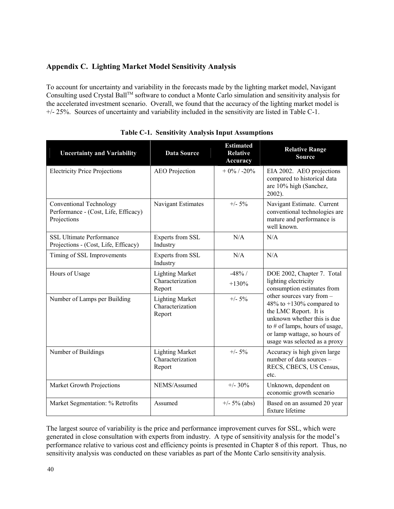# **Appendix C. Lighting Market Model Sensitivity Analysis**

To account for uncertainty and variability in the forecasts made by the lighting market model, Navigant Consulting used Crystal Ball™ software to conduct a Monte Carlo simulation and sensitivity analysis for the accelerated investment scenario. Overall, we found that the accuracy of the lighting market model is +/- 25%. Sources of uncertainty and variability included in the sensitivity are listed in Table C-1.

| <b>Uncertainty and Variability</b>                                                    | <b>Data Source</b>                                   | <b>Estimated</b><br><b>Relative</b><br><b>Accuracy</b> | <b>Relative Range</b><br><b>Source</b>                                                                                                                                                                               |  |  |  |  |
|---------------------------------------------------------------------------------------|------------------------------------------------------|--------------------------------------------------------|----------------------------------------------------------------------------------------------------------------------------------------------------------------------------------------------------------------------|--|--|--|--|
| <b>Electricity Price Projections</b>                                                  | <b>AEO</b> Projection                                | $+0\%$ / -20%                                          | EIA 2002. AEO projections<br>compared to historical data<br>are 10% high (Sanchez,<br>2002).                                                                                                                         |  |  |  |  |
| <b>Conventional Technology</b><br>Performance - (Cost, Life, Efficacy)<br>Projections | Navigant Estimates                                   | $+/- 5\%$                                              | Navigant Estimate. Current<br>conventional technologies are<br>mature and performance is<br>well known.                                                                                                              |  |  |  |  |
| <b>SSL Ultimate Performance</b><br>Projections - (Cost, Life, Efficacy)               | Experts from SSL<br>Industry                         | N/A                                                    | N/A                                                                                                                                                                                                                  |  |  |  |  |
| Timing of SSL Improvements                                                            | Experts from SSL<br>Industry                         | N/A                                                    | N/A                                                                                                                                                                                                                  |  |  |  |  |
| Hours of Usage                                                                        | <b>Lighting Market</b><br>Characterization<br>Report | $-48%/$<br>$+130%$                                     | DOE 2002, Chapter 7. Total<br>lighting electricity<br>consumption estimates from                                                                                                                                     |  |  |  |  |
| Number of Lamps per Building                                                          | <b>Lighting Market</b><br>Characterization<br>Report | $+/- 5\%$                                              | other sources vary from -<br>48% to $+130%$ compared to<br>the LMC Report. It is<br>unknown whether this is due<br>to $#$ of lamps, hours of usage,<br>or lamp wattage, so hours of<br>usage was selected as a proxy |  |  |  |  |
| Number of Buildings                                                                   | <b>Lighting Market</b><br>Characterization<br>Report | $+/- 5\%$                                              | Accuracy is high given large<br>number of data sources -<br>RECS, CBECS, US Census,<br>etc.                                                                                                                          |  |  |  |  |
| Market Growth Projections                                                             | NEMS/Assumed                                         | $+/- 30%$                                              | Unknown, dependent on<br>economic growth scenario                                                                                                                                                                    |  |  |  |  |
| Market Segmentation: % Retrofits                                                      | Assumed                                              | $+/- 5\%$ (abs)                                        | Based on an assumed 20 year<br>fixture lifetime                                                                                                                                                                      |  |  |  |  |

**Table C-1. Sensitivity Analysis Input Assumptions**

The largest source of variability is the price and performance improvement curves for SSL, which were generated in close consultation with experts from industry. A type of sensitivity analysis for the model's performance relative to various cost and efficiency points is presented in Chapter 8 of this report. Thus, no sensitivity analysis was conducted on these variables as part of the Monte Carlo sensitivity analysis.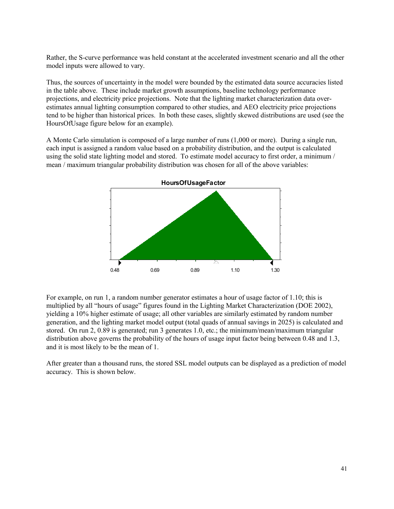Rather, the S-curve performance was held constant at the accelerated investment scenario and all the other model inputs were allowed to vary.

Thus, the sources of uncertainty in the model were bounded by the estimated data source accuracies listed in the table above. These include market growth assumptions, baseline technology performance projections, and electricity price projections. Note that the lighting market characterization data overestimates annual lighting consumption compared to other studies, and AEO electricity price projections tend to be higher than historical prices. In both these cases, slightly skewed distributions are used (see the HoursOfUsage figure below for an example).

A Monte Carlo simulation is composed of a large number of runs (1,000 or more). During a single run, each input is assigned a random value based on a probability distribution, and the output is calculated using the solid state lighting model and stored. To estimate model accuracy to first order, a minimum / mean / maximum triangular probability distribution was chosen for all of the above variables:



For example, on run 1, a random number generator estimates a hour of usage factor of 1.10; this is multiplied by all "hours of usage" figures found in the Lighting Market Characterization (DOE 2002), yielding a 10% higher estimate of usage; all other variables are similarly estimated by random number generation, and the lighting market model output (total quads of annual savings in 2025) is calculated and stored. On run 2, 0.89 is generated; run 3 generates 1.0, etc.; the minimum/mean/maximum triangular distribution above governs the probability of the hours of usage input factor being between 0.48 and 1.3, and it is most likely to be the mean of 1.

After greater than a thousand runs, the stored SSL model outputs can be displayed as a prediction of model accuracy. This is shown below.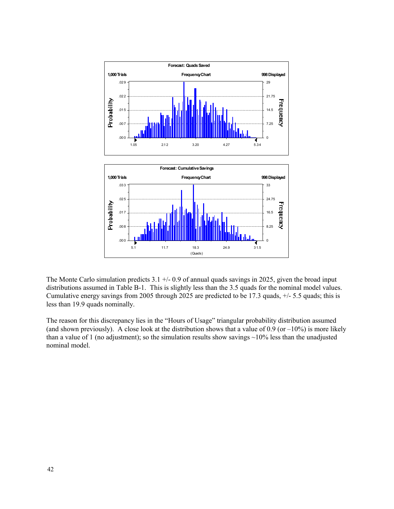

The Monte Carlo simulation predicts  $3.1 +/- 0.9$  of annual quads savings in 2025, given the broad input distributions assumed in Table B-1. This is slightly less than the 3.5 quads for the nominal model values. Cumulative energy savings from 2005 through 2025 are predicted to be 17.3 quads, +/- 5.5 quads; this is less than 19.9 quads nominally.

The reason for this discrepancy lies in the "Hours of Usage" triangular probability distribution assumed (and shown previously). A close look at the distribution shows that a value of 0.9 (or  $-10\%$ ) is more likely than a value of 1 (no adjustment); so the simulation results show savings  $\sim$ 10% less than the unadjusted nominal model.